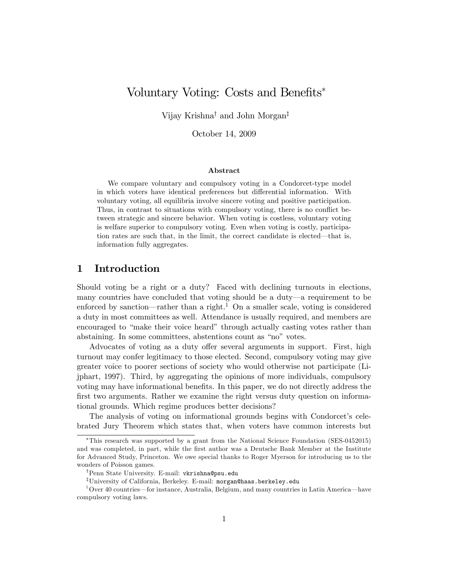# Voluntary Voting: Costs and Benefits<sup>\*</sup>

Vijay Krishna<sup>†</sup> and John Morgan<sup>‡</sup>

October 14, 2009

#### Abstract

We compare voluntary and compulsory voting in a Condorcet-type model in which voters have identical preferences but differential information. With voluntary voting, all equilibria involve sincere voting and positive participation. Thus, in contrast to situations with compulsory voting, there is no conflict between strategic and sincere behavior. When voting is costless, voluntary voting is welfare superior to compulsory voting. Even when voting is costly, participation rates are such that, in the limit, the correct candidate is elected—that is, information fully aggregates.

### 1 Introduction

Should voting be a right or a duty? Faced with declining turnouts in elections, many countries have concluded that voting should be a duty—a requirement to be enforced by sanction—rather than a right.<sup>1</sup> On a smaller scale, voting is considered a duty in most committees as well. Attendance is usually required, and members are encouraged to "make their voice heard" through actually casting votes rather than abstaining. In some committees, abstentions count as "no" votes.

Advocates of voting as a duty offer several arguments in support. First, high turnout may confer legitimacy to those elected. Second, compulsory voting may give greater voice to poorer sections of society who would otherwise not participate (Lijphart, 1997). Third, by aggregating the opinions of more individuals, compulsory voting may have informational benefits. In this paper, we do not directly address the first two arguments. Rather we examine the right versus duty question on informational grounds. Which regime produces better decisions?

The analysis of voting on informational grounds begins with Condorcet's celebrated Jury Theorem which states that, when voters have common interests but

This research was supported by a grant from the National Science Foundation (SES-0452015) and was completed, in part, while the first author was a Deutsche Bank Member at the Institute for Advanced Study, Princeton. We owe special thanks to Roger Myerson for introducing us to the wonders of Poisson games.

<sup>&</sup>lt;sup>T</sup>Penn State University. E-mail: vkrishna@psu.edu

<sup>&</sup>lt;sup>‡</sup>University of California, Berkeley. E-mail: morgan@haas.berkeley.edu

<sup>&</sup>lt;sup>1</sup> Over 40 countries—for instance, Australia, Belgium, and many countries in Latin America—have compulsory voting laws.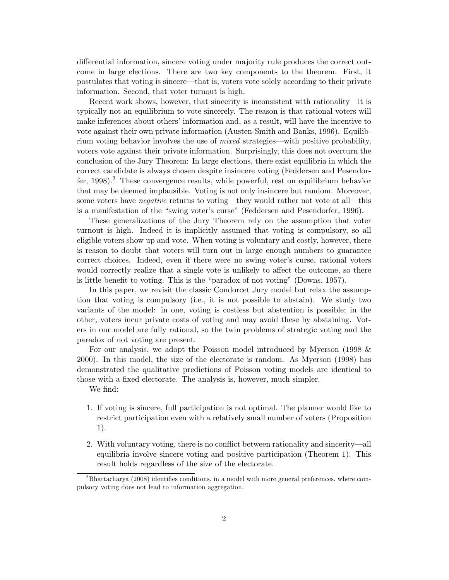differential information, sincere voting under majority rule produces the correct outcome in large elections. There are two key components to the theorem. First, it postulates that voting is sincere—that is, voters vote solely according to their private information. Second, that voter turnout is high.

Recent work shows, however, that sincerity is inconsistent with rationality—it is typically not an equilibrium to vote sincerely. The reason is that rational voters will make inferences about others' information and, as a result, will have the incentive to vote against their own private information (Austen-Smith and Banks, 1996). Equilibrium voting behavior involves the use of *mixed* strategies—with positive probability, voters vote against their private information. Surprisingly, this does not overturn the conclusion of the Jury Theorem: In large elections, there exist equilibria in which the correct candidate is always chosen despite insincere voting (Feddersen and Pesendorfer, 1998).<sup>2</sup> These convergence results, while powerful, rest on equilibrium behavior that may be deemed implausible. Voting is not only insincere but random. Moreover, some voters have *negative* returns to voting—they would rather not vote at all—this is a manifestation of the "swing voter's curse" (Feddersen and Pesendorfer, 1996).

These generalizations of the Jury Theorem rely on the assumption that voter turnout is high. Indeed it is implicitly assumed that voting is compulsory, so all eligible voters show up and vote. When voting is voluntary and costly, however, there is reason to doubt that voters will turn out in large enough numbers to guarantee correct choices. Indeed, even if there were no swing voter's curse, rational voters would correctly realize that a single vote is unlikely to affect the outcome, so there is little benefit to voting. This is the "paradox of not voting" (Downs,  $1957$ ).

In this paper, we revisit the classic Condorcet Jury model but relax the assumption that voting is compulsory (i.e., it is not possible to abstain). We study two variants of the model: in one, voting is costless but abstention is possible; in the other, voters incur private costs of voting and may avoid these by abstaining. Voters in our model are fully rational, so the twin problems of strategic voting and the paradox of not voting are present.

For our analysis, we adopt the Poisson model introduced by Myerson (1998 & 2000). In this model, the size of the electorate is random. As Myerson (1998) has demonstrated the qualitative predictions of Poisson voting models are identical to those with a fixed electorate. The analysis is, however, much simpler.

We find:

- 1. If voting is sincere, full participation is not optimal. The planner would like to restrict participation even with a relatively small number of voters (Proposition 1).
- 2. With voluntary voting, there is no conflict between rationality and sincerity—all equilibria involve sincere voting and positive participation (Theorem 1). This result holds regardless of the size of the electorate.

 $2Bhattacharya (2008)$  identifies conditions, in a model with more general preferences, where compulsory voting does not lead to information aggregation.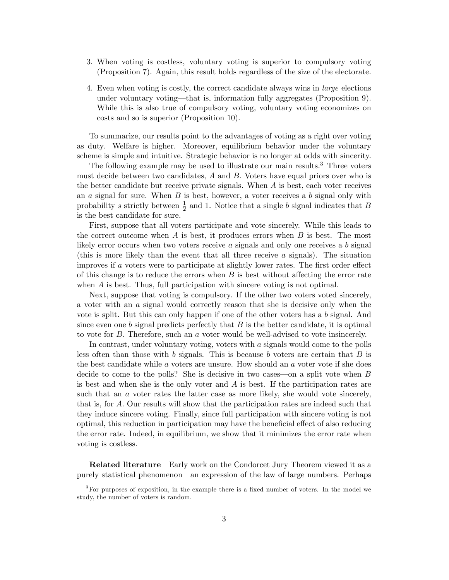- 3. When voting is costless, voluntary voting is superior to compulsory voting (Proposition 7). Again, this result holds regardless of the size of the electorate.
- 4. Even when voting is costly, the correct candidate always wins in *large* elections under voluntary voting—that is, information fully aggregates (Proposition 9). While this is also true of compulsory voting, voluntary voting economizes on costs and so is superior (Proposition 10).

To summarize, our results point to the advantages of voting as a right over voting as duty. Welfare is higher. Moreover, equilibrium behavior under the voluntary scheme is simple and intuitive. Strategic behavior is no longer at odds with sincerity.

The following example may be used to illustrate our main results.<sup>3</sup> Three voters must decide between two candidates, A and B: Voters have equal priors over who is the better candidate but receive private signals. When  $A$  is best, each voter receives an  $a$  signal for sure. When  $B$  is best, however, a voter receives a  $b$  signal only with probability s strictly between  $\frac{1}{2}$  and 1. Notice that a single b signal indicates that B is the best candidate for sure.

First, suppose that all voters participate and vote sincerely. While this leads to the correct outcome when  $A$  is best, it produces errors when  $B$  is best. The most likely error occurs when two voters receive a signals and only one receives a b signal (this is more likely than the event that all three receive a signals). The situation improves if  $a$  voters were to participate at slightly lower rates. The first order effect of this change is to reduce the errors when  $B$  is best without affecting the error rate when A is best. Thus, full participation with sincere voting is not optimal.

Next, suppose that voting is compulsory. If the other two voters voted sincerely, a voter with an a signal would correctly reason that she is decisive only when the vote is split. But this can only happen if one of the other voters has a b signal. And since even one b signal predicts perfectly that  $B$  is the better candidate, it is optimal to vote for B: Therefore, such an a voter would be well-advised to vote insincerely.

In contrast, under voluntary voting, voters with a signals would come to the polls less often than those with  $b$  signals. This is because  $b$  voters are certain that  $B$  is the best candidate while  $\alpha$  voters are unsure. How should an  $\alpha$  voter vote if she does decide to come to the polls? She is decisive in two cases—on a split vote when  $B$ is best and when she is the only voter and A is best. If the participation rates are such that an a voter rates the latter case as more likely, she would vote sincerely, that is, for A: Our results will show that the participation rates are indeed such that they induce sincere voting. Finally, since full participation with sincere voting is not optimal, this reduction in participation may have the beneficial effect of also reducing the error rate. Indeed, in equilibrium, we show that it minimizes the error rate when voting is costless.

Related literature Early work on the Condorcet Jury Theorem viewed it as a purely statistical phenomenon—an expression of the law of large numbers. Perhaps

 ${}^{3}$  For purposes of exposition, in the example there is a fixed number of voters. In the model we study, the number of voters is random.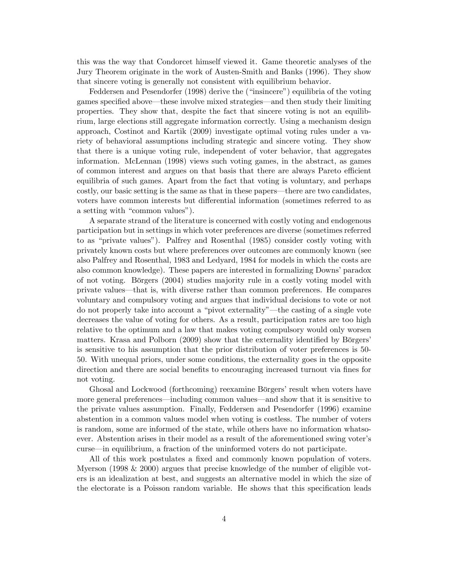this was the way that Condorcet himself viewed it. Game theoretic analyses of the Jury Theorem originate in the work of Austen-Smith and Banks (1996). They show that sincere voting is generally not consistent with equilibrium behavior.

Feddersen and Pesendorfer (1998) derive the ("insincere") equilibria of the voting games specified above—these involve mixed strategies—and then study their limiting properties. They show that, despite the fact that sincere voting is not an equilibrium, large elections still aggregate information correctly. Using a mechanism design approach, Costinot and Kartik (2009) investigate optimal voting rules under a variety of behavioral assumptions including strategic and sincere voting. They show that there is a unique voting rule, independent of voter behavior, that aggregates information. McLennan (1998) views such voting games, in the abstract, as games of common interest and argues on that basis that there are always Pareto efficient equilibria of such games. Apart from the fact that voting is voluntary, and perhaps costly, our basic setting is the same as that in these papers—there are two candidates, voters have common interests but differential information (sometimes referred to as a setting with "common values").

A separate strand of the literature is concerned with costly voting and endogenous participation but in settings in which voter preferences are diverse (sometimes referred to as "private values"). Palfrey and Rosenthal (1985) consider costly voting with privately known costs but where preferences over outcomes are commonly known (see also Palfrey and Rosenthal, 1983 and Ledyard, 1984 for models in which the costs are also common knowledge). These papers are interested in formalizing Downs' paradox of not voting. Bˆrgers (2004) studies majority rule in a costly voting model with private values—that is, with diverse rather than common preferences. He compares voluntary and compulsory voting and argues that individual decisions to vote or not do not properly take into account a "pivot externality"—the casting of a single vote decreases the value of voting for others. As a result, participation rates are too high relative to the optimum and a law that makes voting compulsory would only worsen matters. Krasa and Polborn (2009) show that the externality identified by Börgers' is sensitive to his assumption that the prior distribution of voter preferences is 50- 50. With unequal priors, under some conditions, the externality goes in the opposite direction and there are social benefits to encouraging increased turnout via fines for not voting.

Ghosal and Lockwood (forthcoming) reexamine Börgers' result when voters have more general preferences—including common values—and show that it is sensitive to the private values assumption. Finally, Feddersen and Pesendorfer (1996) examine abstention in a common values model when voting is costless. The number of voters is random, some are informed of the state, while others have no information whatsoever. Abstention arises in their model as a result of the aforementioned swing voter's curse—in equilibrium, a fraction of the uninformed voters do not participate.

All of this work postulates a fixed and commonly known population of voters. Myerson (1998 & 2000) argues that precise knowledge of the number of eligible voters is an idealization at best, and suggests an alternative model in which the size of the electorate is a Poisson random variable. He shows that this specification leads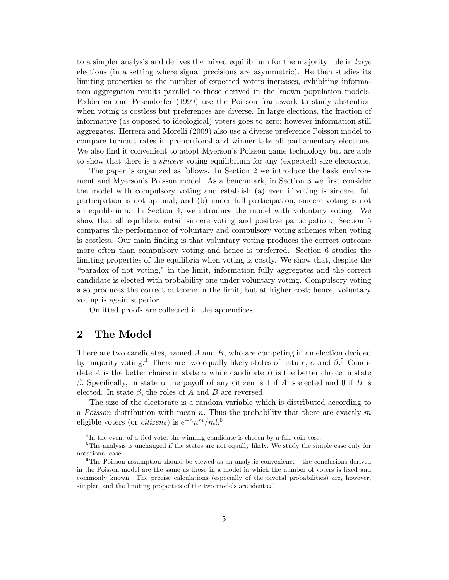to a simpler analysis and derives the mixed equilibrium for the majority rule in large elections (in a setting where signal precisions are asymmetric). He then studies its limiting properties as the number of expected voters increases, exhibiting information aggregation results parallel to those derived in the known population models. Feddersen and Pesendorfer (1999) use the Poisson framework to study abstention when voting is costless but preferences are diverse. In large elections, the fraction of informative (as opposed to ideological) voters goes to zero; however information still aggregates. Herrera and Morelli (2009) also use a diverse preference Poisson model to compare turnout rates in proportional and winner-take-all parliamentary elections. We also find it convenient to adopt Myerson's Poisson game technology but are able to show that there is a sincere voting equilibrium for any (expected) size electorate.

The paper is organized as follows. In Section 2 we introduce the basic environment and Myerson's Poisson model. As a benchmark, in Section 3 we first consider the model with compulsory voting and establish (a) even if voting is sincere, full participation is not optimal; and (b) under full participation, sincere voting is not an equilibrium. In Section 4, we introduce the model with voluntary voting. We show that all equilibria entail sincere voting and positive participation. Section 5 compares the performance of voluntary and compulsory voting schemes when voting is costless. Our main Önding is that voluntary voting produces the correct outcome more often than compulsory voting and hence is preferred. Section 6 studies the limiting properties of the equilibria when voting is costly. We show that, despite the ìparadox of not voting,î in the limit, information fully aggregates and the correct candidate is elected with probability one under voluntary voting. Compulsory voting also produces the correct outcome in the limit, but at higher cost; hence, voluntary voting is again superior.

Omitted proofs are collected in the appendices.

### 2 The Model

There are two candidates, named  $A$  and  $B$ , who are competing in an election decided by majority voting.<sup>4</sup> There are two equally likely states of nature,  $\alpha$  and  $\beta$ .<sup>5</sup> Candidate A is the better choice in state  $\alpha$  while candidate B is the better choice in state  $\beta$ . Specifically, in state  $\alpha$  the payoff of any citizen is 1 if A is elected and 0 if B is elected. In state  $\beta$ , the roles of A and B are reversed.

The size of the electorate is a random variable which is distributed according to a *Poisson* distribution with mean n. Thus the probability that there are exactly m eligible voters (or *citizens*) is  $e^{-n}n^m/m!$ .<sup>6</sup>

<sup>&</sup>lt;sup>4</sup>In the event of a tied vote, the winning candidate is chosen by a fair coin toss.

<sup>&</sup>lt;sup>5</sup>The analysis is unchanged if the states are not equally likely. We study the simple case only for notational ease.

 $6$ The Poisson assumption should be viewed as an analytic convenience—the conclusions derived in the Poisson model are the same as those in a model in which the number of voters is fixed and commonly known. The precise calculations (especially of the pivotal probabilities) are, however, simpler, and the limiting properties of the two models are identical.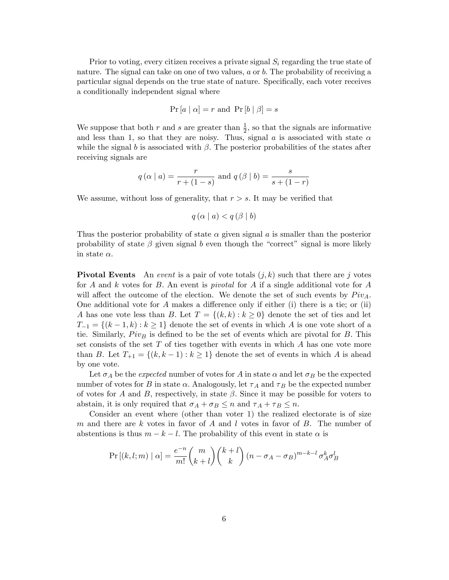Prior to voting, every citizen receives a private signal  $S_i$  regarding the true state of nature. The signal can take on one of two values,  $a$  or  $b$ . The probability of receiving a particular signal depends on the true state of nature. Specifically, each voter receives a conditionally independent signal where

$$
Pr[a | \alpha] = r \text{ and } Pr[b | \beta] = s
$$

We suppose that both r and s are greater than  $\frac{1}{2}$ , so that the signals are informative and less than 1, so that they are noisy. Thus, signal a is associated with state  $\alpha$ while the signal b is associated with  $\beta$ . The posterior probabilities of the states after receiving signals are

$$
q(\alpha | a) = \frac{r}{r + (1 - s)}
$$
 and  $q(\beta | b) = \frac{s}{s + (1 - r)}$ 

We assume, without loss of generality, that  $r > s$ . It may be verified that

 $q(\alpha | a) < q(\beta | b)$ 

Thus the posterior probability of state  $\alpha$  given signal a is smaller than the posterior probability of state  $\beta$  given signal b even though the "correct" signal is more likely in state  $\alpha$ .

**Pivotal Events** An *event* is a pair of vote totals  $(j, k)$  such that there are j votes for A and k votes for B. An event is *pivotal* for A if a single additional vote for A will affect the outcome of the election. We denote the set of such events by  $Piv_A$ . One additional vote for  $A$  makes a difference only if either (i) there is a tie; or (ii) A has one vote less than B. Let  $T = \{(k, k) : k \geq 0\}$  denote the set of ties and let  $T_{-1} = \{(k-1,k): k \geq 1\}$  denote the set of events in which A is one vote short of a tie. Similarly,  $Piv_B$  is defined to be the set of events which are pivotal for B. This set consists of the set  $T$  of ties together with events in which  $A$  has one vote more than B. Let  $T_{+1} = \{(k, k-1) : k \geq 1\}$  denote the set of events in which A is ahead by one vote.

Let  $\sigma_A$  be the *expected* number of votes for A in state  $\alpha$  and let  $\sigma_B$  be the expected number of votes for B in state  $\alpha$ . Analogously, let  $\tau_A$  and  $\tau_B$  be the expected number of votes for A and B, respectively, in state  $\beta$ . Since it may be possible for voters to abstain, it is only required that  $\sigma_A + \sigma_B \leq n$  and  $\tau_A + \tau_B \leq n$ .

Consider an event where (other than voter 1) the realized electorate is of size m and there are k votes in favor of A and l votes in favor of B. The number of abstentions is thus  $m - k - l$ . The probability of this event in state  $\alpha$  is

$$
\Pr\left[(k,l;m)\mid\alpha\right] = \frac{e^{-n}}{m!} \binom{m}{k+l} \binom{k+l}{k} \left(n - \sigma_A - \sigma_B\right)^{m-k-l} \sigma_A^k \sigma_B^l
$$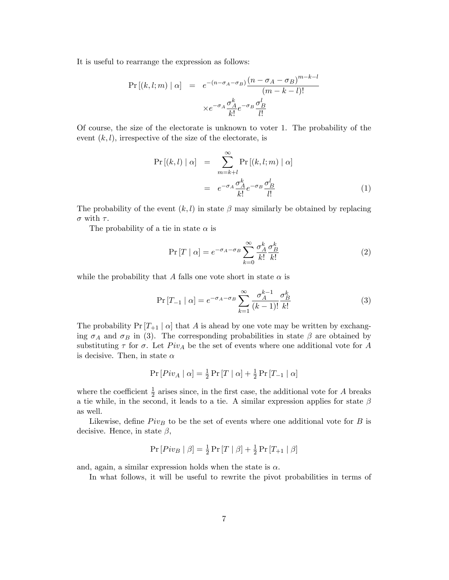It is useful to rearrange the expression as follows:

$$
\Pr\left[(k, l; m) \mid \alpha\right] = e^{-(n - \sigma_A - \sigma_B)} \frac{(n - \sigma_A - \sigma_B)^{m-k-l}}{(m - k - l)!}
$$

$$
\times e^{-\sigma_A} \frac{\sigma_A^k}{k!} e^{-\sigma_B} \frac{\sigma_B^l}{l!}
$$

Of course, the size of the electorate is unknown to voter 1. The probability of the event  $(k, l)$ , irrespective of the size of the electorate, is

$$
\Pr\left[(k,l) \mid \alpha\right] = \sum_{m=k+l}^{\infty} \Pr\left[(k,l;m) \mid \alpha\right]
$$

$$
= e^{-\sigma_A} \frac{\sigma_A^k}{k!} e^{-\sigma_B} \frac{\sigma_B^l}{l!}
$$
(1)

The probability of the event  $(k, l)$  in state  $\beta$  may similarly be obtained by replacing  $\sigma$  with  $\tau$ .

The probability of a tie in state  $\alpha$  is

$$
\Pr\left[T \mid \alpha\right] = e^{-\sigma_A - \sigma_B} \sum_{k=0}^{\infty} \frac{\sigma_A^k}{k!} \frac{\sigma_B^k}{k!} \tag{2}
$$

while the probability that A falls one vote short in state  $\alpha$  is

$$
\Pr[T_{-1} | \alpha] = e^{-\sigma_A - \sigma_B} \sum_{k=1}^{\infty} \frac{\sigma_A^{k-1}}{(k-1)!} \frac{\sigma_B^k}{k!}
$$
 (3)

The probability  $Pr[T_{+1} | \alpha]$  that A is ahead by one vote may be written by exchanging  $\sigma_A$  and  $\sigma_B$  in (3). The corresponding probabilities in state  $\beta$  are obtained by substituting  $\tau$  for  $\sigma$ . Let  $Piv_A$  be the set of events where one additional vote for A is decisive. Then, in state  $\alpha$ 

$$
\Pr\left[ Piv_A \mid \alpha \right] = \frac{1}{2} \Pr\left[ T \mid \alpha \right] + \frac{1}{2} \Pr\left[ T_{-1} \mid \alpha \right]
$$

where the coefficient  $\frac{1}{2}$  arises since, in the first case, the additional vote for A breaks a tie while, in the second, it leads to a tie. A similar expression applies for state  $\beta$ as well.

Likewise, define  $Piv_B$  to be the set of events where one additional vote for B is decisive. Hence, in state  $\beta$ ,

$$
Pr[Piv_B | \beta] = \frac{1}{2}Pr[T | \beta] + \frac{1}{2}Pr[T_{+1} | \beta]
$$

and, again, a similar expression holds when the state is  $\alpha$ .

In what follows, it will be useful to rewrite the pivot probabilities in terms of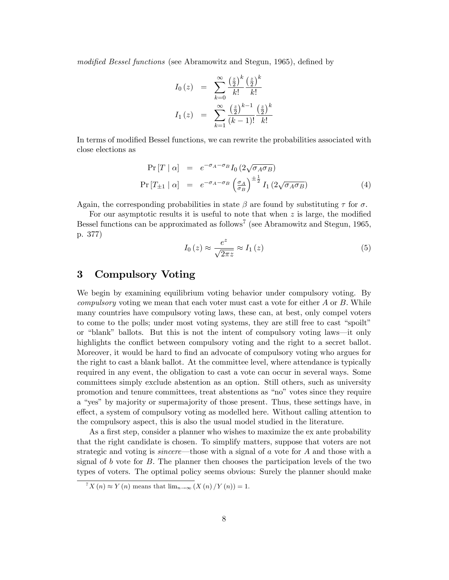modified Bessel functions (see Abramowitz and Stegun, 1965), defined by

$$
I_0(z) = \sum_{k=0}^{\infty} \frac{\left(\frac{z}{2}\right)^k}{k!} \frac{\left(\frac{z}{2}\right)^k}{k!}
$$

$$
I_1(z) = \sum_{k=1}^{\infty} \frac{\left(\frac{z}{2}\right)^{k-1}}{(k-1)!} \frac{\left(\frac{z}{2}\right)^k}{k!}
$$

In terms of modified Bessel functions, we can rewrite the probabilities associated with close elections as

$$
\Pr[T \mid \alpha] = e^{-\sigma_A - \sigma_B} I_0 \left( 2\sqrt{\sigma_A \sigma_B} \right)
$$
\n
$$
\Pr[T_{\pm 1} \mid \alpha] = e^{-\sigma_A - \sigma_B} \left( \frac{\sigma_A}{\sigma_B} \right)^{\pm \frac{1}{2}} I_1 \left( 2\sqrt{\sigma_A \sigma_B} \right) \tag{4}
$$

Again, the corresponding probabilities in state  $\beta$  are found by substituting  $\tau$  for  $\sigma$ .

For our asymptotic results it is useful to note that when  $z$  is large, the modified Bessel functions can be approximated as follows<sup>7</sup> (see Abramowitz and Stegun, 1965, p. 377)

$$
I_0(z) \approx \frac{e^z}{\sqrt{2\pi z}} \approx I_1(z)
$$
\n<sup>(5)</sup>

### 3 Compulsory Voting

We begin by examining equilibrium voting behavior under compulsory voting. By *compulsory* voting we mean that each voter must cast a vote for either  $A$  or  $B$ . While many countries have compulsory voting laws, these can, at best, only compel voters to come to the polls; under most voting systems, they are still free to cast "spoilt" or "blank" ballots. But this is not the intent of compulsory voting laws—it only highlights the conflict between compulsory voting and the right to a secret ballot. Moreover, it would be hard to find an advocate of compulsory voting who argues for the right to cast a blank ballot. At the committee level, where attendance is typically required in any event, the obligation to cast a vote can occur in several ways. Some committees simply exclude abstention as an option. Still others, such as university promotion and tenure committees, treat abstentions as "no" votes since they require a "yes" by majority or supermajority of those present. Thus, these settings have, in effect, a system of compulsory voting as modelled here. Without calling attention to the compulsory aspect, this is also the usual model studied in the literature.

As a first step, consider a planner who wishes to maximize the ex ante probability that the right candidate is chosen. To simplify matters, suppose that voters are not strategic and voting is *sincere*—those with a signal of  $\alpha$  vote for  $\beta$  and those with a signal of b vote for  $B$ . The planner then chooses the participation levels of the two types of voters. The optimal policy seems obvious: Surely the planner should make

 $\sqrt{T}X(n) \approx Y(n)$  means that  $\lim_{n\to\infty} (X(n)/Y(n)) = 1$ .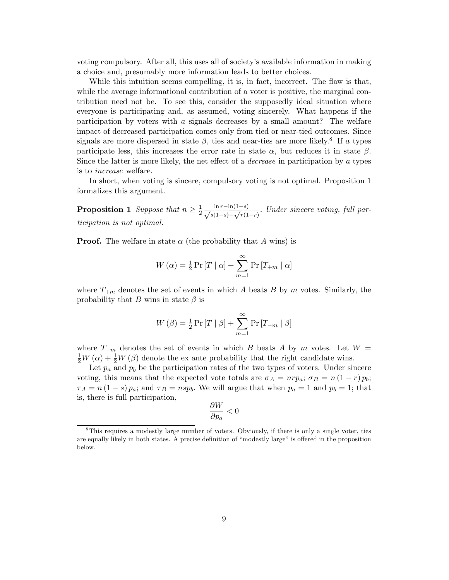voting compulsory. After all, this uses all of societyís available information in making a choice and, presumably more information leads to better choices.

While this intuition seems compelling, it is, in fact, incorrect. The flaw is that, while the average informational contribution of a voter is positive, the marginal contribution need not be. To see this, consider the supposedly ideal situation where everyone is participating and, as assumed, voting sincerely. What happens if the participation by voters with a signals decreases by a small amount? The welfare impact of decreased participation comes only from tied or near-tied outcomes. Since signals are more dispersed in state  $\beta$ , ties and near-ties are more likely.<sup>8</sup> If a types participate less, this increases the error rate in state  $\alpha$ , but reduces it in state  $\beta$ . Since the latter is more likely, the net effect of a *decrease* in participation by a types is to increase welfare.

In short, when voting is sincere, compulsory voting is not optimal. Proposition 1 formalizes this argument.

**Proposition 1** Suppose that  $n \geq \frac{1}{2}$  $\frac{1}{2} \frac{\ln r - \ln(1-s)}{\sqrt{s(1-s)} - \sqrt{r(1-s)}}$  $\frac{\ln r \ln(1-s)}{s(1-s)} - \sqrt{r(1-r)}$ : Under sincere voting, full participation is not optimal.

**Proof.** The welfare in state  $\alpha$  (the probability that A wins) is

$$
W(\alpha) = \frac{1}{2} \Pr[T \mid \alpha] + \sum_{m=1}^{\infty} \Pr[T_{+m} \mid \alpha]
$$

where  $T_{+m}$  denotes the set of events in which A beats B by m votes. Similarly, the probability that B wins in state  $\beta$  is

$$
W(\beta) = \frac{1}{2} \Pr[T | \beta] + \sum_{m=1}^{\infty} \Pr[T_{-m} | \beta]
$$

where  $T_{-m}$  denotes the set of events in which B beats A by m votes. Let  $W =$  $\frac{1}{2}W(\alpha) + \frac{1}{2}W(\beta)$  denote the ex ante probability that the right candidate wins.

Let  $p_a$  and  $p_b$  be the participation rates of the two types of voters. Under sincere voting, this means that the expected vote totals are  $\sigma_A = n r p_a$ ;  $\sigma_B = n (1 - r) p_b$ ;  $\tau_A = n(1-s)p_a$ ; and  $\tau_B = nsp_b$ . We will argue that when  $p_a = 1$  and  $p_b = 1$ ; that is, there is full participation,

$$
\frac{\partial W}{\partial p_a}<0
$$

<sup>&</sup>lt;sup>8</sup>This requires a modestly large number of voters. Obviously, if there is only a single voter, ties are equally likely in both states. A precise definition of "modestly large" is offered in the proposition below.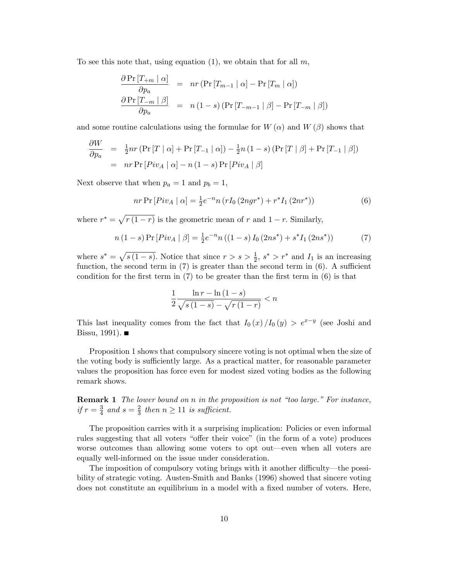To see this note that, using equation (1), we obtain that for all  $m$ .

$$
\frac{\partial \Pr\left[T_{+m} \mid \alpha\right]}{\partial p_a} = nr \left(\Pr\left[T_{m-1} \mid \alpha\right] - \Pr\left[T_m \mid \alpha\right]\right)
$$

$$
\frac{\partial \Pr\left[T_{-m} \mid \beta\right]}{\partial p_a} = n \left(1 - s\right) \left(\Pr\left[T_{-m-1} \mid \beta\right] - \Pr\left[T_{-m} \mid \beta\right]\right)
$$

and some routine calculations using the formulae for  $W(\alpha)$  and  $W(\beta)$  shows that

$$
\frac{\partial W}{\partial p_a} = \frac{1}{2} n r \left( \Pr\left[T \mid \alpha\right] + \Pr\left[T_{-1} \mid \alpha\right] \right) - \frac{1}{2} n \left(1 - s\right) \left( \Pr\left[T \mid \beta\right] + \Pr\left[T_{-1} \mid \beta\right] \right)
$$
\n
$$
= n r \Pr\left[Piv_A \mid \alpha\right] - n \left(1 - s\right) \Pr\left[Piv_A \mid \beta\right]
$$

Next observe that when  $p_a = 1$  and  $p_b = 1$ ,

$$
nr \Pr\left[ Piv_A \mid \alpha \right] = \frac{1}{2} e^{-n} n \left( r I_0 \left( 2ngr^* \right) + r^* I_1 \left( 2nr^* \right) \right) \tag{6}
$$

where  $r^* = \sqrt{r(1-r)}$  is the geometric mean of r and  $1-r$ . Similarly,

$$
n(1-s)\Pr\left[Piv_A \mid \beta\right] = \frac{1}{2}e^{-n}n((1-s)I_0(2ns^*) + s^*I_1(2ns^*))\tag{7}
$$

where  $s^* = \sqrt{s(1-s)}$ . Notice that since  $r > s > \frac{1}{2}$ ,  $s^* > r^*$  and  $I_1$  is an increasing function, the second term in  $(7)$  is greater than the second term in  $(6)$ . A sufficient condition for the first term in  $(7)$  to be greater than the first term in  $(6)$  is that

$$
\frac{1}{2} \frac{\ln r - \ln\left(1 - s\right)}{\sqrt{s\left(1 - s\right)} - \sqrt{r\left(1 - r\right)}} < n
$$

This last inequality comes from the fact that  $I_0(x)/I_0(y) > e^{x-y}$  (see Joshi and Bissu, 1991).  $\blacksquare$ 

Proposition 1 shows that compulsory sincere voting is not optimal when the size of the voting body is sufficiently large. As a practical matter, for reasonable parameter values the proposition has force even for modest sized voting bodies as the following remark shows.

**Remark 1** The lower bound on  $n$  in the proposition is not "too large." For instance, if  $r=\frac{3}{4}$  $rac{3}{4}$  and  $s = \frac{2}{3}$  $rac{2}{3}$  then  $n \geq 11$  is sufficient.

The proposition carries with it a surprising implication: Policies or even informal rules suggesting that all voters "offer their voice" (in the form of a vote) produces worse outcomes than allowing some voters to opt out—even when all voters are equally well-informed on the issue under consideration.

The imposition of compulsory voting brings with it another difficulty—the possibility of strategic voting. Austen-Smith and Banks (1996) showed that sincere voting does not constitute an equilibrium in a model with a fixed number of voters. Here,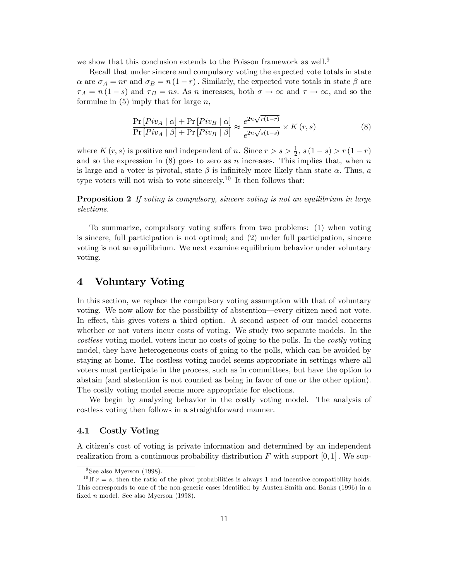we show that this conclusion extends to the Poisson framework as well.<sup>9</sup>

Recall that under sincere and compulsory voting the expected vote totals in state  $\alpha$  are  $\sigma_A = nr$  and  $\sigma_B = n(1-r)$ . Similarly, the expected vote totals in state  $\beta$  are  $\tau_A = n(1-s)$  and  $\tau_B = ns$ . As n increases, both  $\sigma \to \infty$  and  $\tau \to \infty$ , and so the formulae in  $(5)$  imply that for large n,

$$
\frac{\Pr\left[Piv_A \mid \alpha\right] + \Pr\left[Piv_B \mid \alpha\right]}{\Pr\left[Piv_A \mid \beta\right] + \Pr\left[Piv_B \mid \beta\right]} \approx \frac{e^{2n\sqrt{r(1-r)}}}{e^{2n\sqrt{s(1-s)}}} \times K\left(r, s\right) \tag{8}
$$

where  $K(r, s)$  is positive and independent of n. Since  $r > s > \frac{1}{2}$ ,  $s(1-s) > r(1-r)$ and so the expression in  $(8)$  goes to zero as n increases. This implies that, when n is large and a voter is pivotal, state  $\beta$  is infinitely more likely than state  $\alpha$ . Thus, a type voters will not wish to vote sincerely.<sup>10</sup> It then follows that:

**Proposition 2** If voting is compulsory, sincere voting is not an equilibrium in large elections.

To summarize, compulsory voting suffers from two problems: (1) when voting is sincere, full participation is not optimal; and (2) under full participation, sincere voting is not an equilibrium. We next examine equilibrium behavior under voluntary voting.

# 4 Voluntary Voting

In this section, we replace the compulsory voting assumption with that of voluntary voting. We now allow for the possibility of abstention—every citizen need not vote. In effect, this gives voters a third option. A second aspect of our model concerns whether or not voters incur costs of voting. We study two separate models. In the costless voting model, voters incur no costs of going to the polls. In the costly voting model, they have heterogeneous costs of going to the polls, which can be avoided by staying at home. The costless voting model seems appropriate in settings where all voters must participate in the process, such as in committees, but have the option to abstain (and abstention is not counted as being in favor of one or the other option). The costly voting model seems more appropriate for elections.

We begin by analyzing behavior in the costly voting model. The analysis of costless voting then follows in a straightforward manner.

### 4.1 Costly Voting

A citizenís cost of voting is private information and determined by an independent realization from a continuous probability distribution F with support  $[0, 1]$ . We sup-

<sup>&</sup>lt;sup>9</sup>See also Myerson (1998).

<sup>&</sup>lt;sup>10</sup> If  $r = s$ , then the ratio of the pivot probabilities is always 1 and incentive compatibility holds. This corresponds to one of the non-generic cases identified by Austen-Smith and Banks (1996) in a fixed  $n$  model. See also Myerson (1998).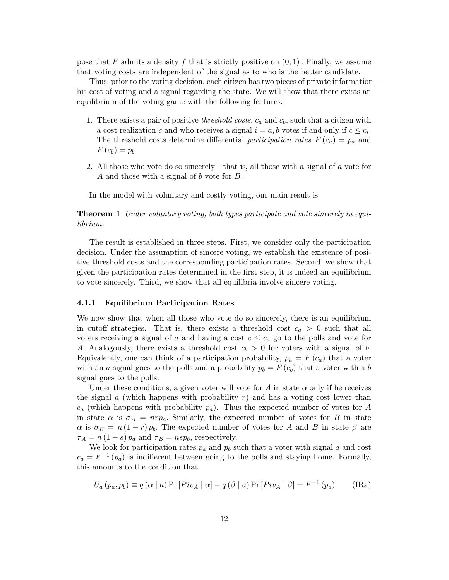pose that F admits a density f that is strictly positive on  $(0, 1)$ . Finally, we assume that voting costs are independent of the signal as to who is the better candidate.

Thus, prior to the voting decision, each citizen has two pieces of private informationó his cost of voting and a signal regarding the state. We will show that there exists an equilibrium of the voting game with the following features.

- 1. There exists a pair of positive *threshold costs*,  $c_a$  and  $c_b$ , such that a citizen with a cost realization c and who receives a signal  $i = a, b$  votes if and only if  $c \leq c_i$ . The threshold costs determine differential participation rates  $F(c_a) = p_a$  and  $F(c_b) = p_b.$
- 2. All those who vote do so sincerely—that is, all those with a signal of  $\alpha$  vote for A and those with a signal of  $b$  vote for  $B$ .

In the model with voluntary and costly voting, our main result is

**Theorem 1** Under voluntary voting, both types participate and vote sincerely in equilibrium.

The result is established in three steps. First, we consider only the participation decision. Under the assumption of sincere voting, we establish the existence of positive threshold costs and the corresponding participation rates. Second, we show that given the participation rates determined in the first step, it is indeed an equilibrium to vote sincerely. Third, we show that all equilibria involve sincere voting.

#### 4.1.1 Equilibrium Participation Rates

We now show that when all those who vote do so sincerely, there is an equilibrium in cutoff strategies. That is, there exists a threshold cost  $c_a > 0$  such that all voters receiving a signal of a and having a cost  $c \leq c_a$  go to the polls and vote for A. Analogously, there exists a threshold cost  $c_b > 0$  for voters with a signal of b. Equivalently, one can think of a participation probability,  $p_a = F(c_a)$  that a voter with an a signal goes to the polls and a probability  $p_b = F(c_b)$  that a voter with a b signal goes to the polls.

Under these conditions, a given voter will vote for A in state  $\alpha$  only if he receives the signal  $a$  (which happens with probability  $r$ ) and has a voting cost lower than  $c_a$  (which happens with probability  $p_a$ ). Thus the expected number of votes for A in state  $\alpha$  is  $\sigma_A = n r p_a$ . Similarly, the expected number of votes for B in state  $\alpha$  is  $\sigma_B = n(1-r)p_b$ . The expected number of votes for A and B in state  $\beta$  are  $\tau_A = n(1-s)p_a$  and  $\tau_B = nsp_b$ , respectively.

We look for participation rates  $p_a$  and  $p_b$  such that a voter with signal a and cost  $c_a = F^{-1}(p_a)$  is indifferent between going to the polls and staying home. Formally, this amounts to the condition that

$$
U_a(p_a, p_b) \equiv q(\alpha \mid a) \Pr[Piv_A \mid \alpha] - q(\beta \mid a) \Pr[Piv_A \mid \beta] = F^{-1}(p_a)
$$
 (IRA)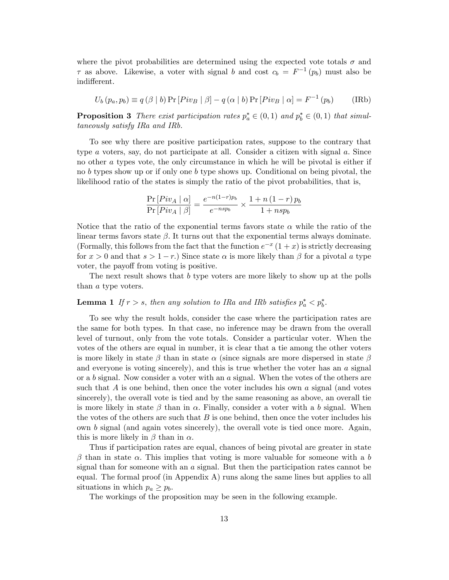where the pivot probabilities are determined using the expected vote totals  $\sigma$  and  $\tau$  as above. Likewise, a voter with signal b and cost  $c_b = F^{-1}(p_b)$  must also be indifferent.

$$
U_b(p_a, p_b) \equiv q(\beta | b) \Pr[Piv_B | \beta] - q(\alpha | b) \Pr[Piv_B | \alpha] = F^{-1}(p_b)
$$
 (IRb)

**Proposition 3** There exist participation rates  $p_a^* \in (0,1)$  and  $p_b^* \in (0,1)$  that simultaneously satisfy IRa and IRb.

To see why there are positive participation rates, suppose to the contrary that type  $a$  voters, say, do not participate at all. Consider a citizen with signal  $a$ . Since no other a types vote, the only circumstance in which he will be pivotal is either if no b types show up or if only one b type shows up. Conditional on being pivotal, the likelihood ratio of the states is simply the ratio of the pivot probabilities, that is,

$$
\frac{\Pr\left[Piv_A \mid \alpha\right]}{\Pr\left[Piv_A \mid \beta\right]} = \frac{e^{-n(1-r)p_b}}{e^{-nsp_b}} \times \frac{1+n\left(1-r\right)p_b}{1+nsp_b}
$$

Notice that the ratio of the exponential terms favors state  $\alpha$  while the ratio of the linear terms favors state  $\beta$ . It turns out that the exponential terms always dominate. (Formally, this follows from the fact that the function  $e^{-x}(1+x)$  is strictly decreasing for  $x > 0$  and that  $s > 1-r$ .) Since state  $\alpha$  is more likely than  $\beta$  for a pivotal a type voter, the payoff from voting is positive.

The next result shows that b type voters are more likely to show up at the polls than a type voters.

# **Lemma 1** If  $r > s$ , then any solution to IRa and IRb satisfies  $p_a^* < p_b^*$ .

To see why the result holds, consider the case where the participation rates are the same for both types. In that case, no inference may be drawn from the overall level of turnout, only from the vote totals. Consider a particular voter. When the votes of the others are equal in number, it is clear that a tie among the other voters is more likely in state  $\beta$  than in state  $\alpha$  (since signals are more dispersed in state  $\beta$ and everyone is voting sincerely), and this is true whether the voter has an  $a$  signal or a b signal. Now consider a voter with an a signal. When the votes of the others are such that  $A$  is one behind, then once the voter includes his own  $a$  signal (and votes sincerely), the overall vote is tied and by the same reasoning as above, an overall tie is more likely in state  $\beta$  than in  $\alpha$ . Finally, consider a voter with a b signal. When the votes of the others are such that  $B$  is one behind, then once the voter includes his own b signal (and again votes sincerely), the overall vote is tied once more. Again, this is more likely in  $\beta$  than in  $\alpha$ .

Thus if participation rates are equal, chances of being pivotal are greater in state  $\beta$  than in state  $\alpha$ . This implies that voting is more valuable for someone with a b signal than for someone with an  $a$  signal. But then the participation rates cannot be equal. The formal proof (in Appendix A) runs along the same lines but applies to all situations in which  $p_a \geq p_b$ .

The workings of the proposition may be seen in the following example.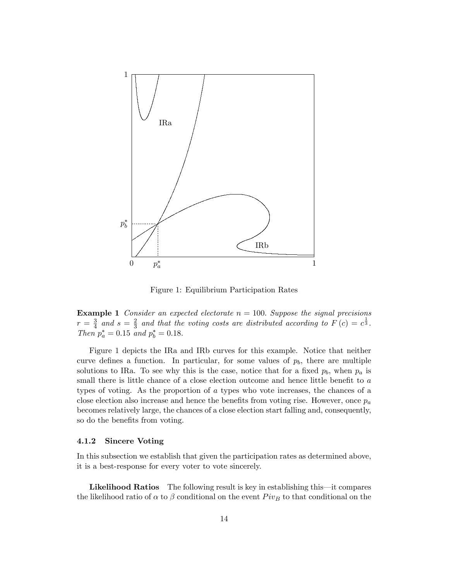

Figure 1: Equilibrium Participation Rates

**Example 1** Consider an expected electorate  $n = 100$ . Suppose the signal precisions  $r=\frac{3}{4}$  $rac{3}{4}$  and  $s = \frac{2}{3}$  $\frac{2}{3}$  and that the voting costs are distributed according to  $F(c) = c^{\frac{1}{3}}$ . Then  $p_a^* = 0.15$  and  $p_b^* = 0.18$ .

Figure 1 depicts the IRa and IRb curves for this example. Notice that neither curve defines a function. In particular, for some values of  $p<sub>b</sub>$ , there are multiple solutions to IRa. To see why this is the case, notice that for a fixed  $p_b$ , when  $p_a$  is small there is little chance of a close election outcome and hence little benefit to  $a$ types of voting. As the proportion of a types who vote increases, the chances of a close election also increase and hence the benefits from voting rise. However, once  $p_a$ becomes relatively large, the chances of a close election start falling and, consequently, so do the benefits from voting.

#### 4.1.2 Sincere Voting

In this subsection we establish that given the participation rates as determined above, it is a best-response for every voter to vote sincerely.

**Likelihood Ratios** The following result is key in establishing this—it compares the likelihood ratio of  $\alpha$  to  $\beta$  conditional on the event  $Piv_B$  to that conditional on the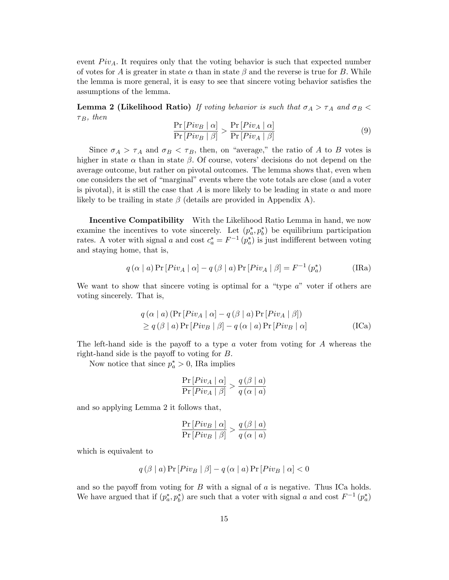event  $Piv_A$ . It requires only that the voting behavior is such that expected number of votes for A is greater in state  $\alpha$  than in state  $\beta$  and the reverse is true for B. While the lemma is more general, it is easy to see that sincere voting behavior satisfies the assumptions of the lemma.

**Lemma 2 (Likelihood Ratio)** If voting behavior is such that  $\sigma_A > \tau_A$  and  $\sigma_B$  $\tau_B$ , then

$$
\frac{\Pr\left[Piv_B \mid \alpha\right]}{\Pr\left[Piv_B \mid \beta\right]} > \frac{\Pr\left[Piv_A \mid \alpha\right]}{\Pr\left[Piv_A \mid \beta\right]} \tag{9}
$$

Since  $\sigma_A > \tau_A$  and  $\sigma_B < \tau_B$ , then, on "average," the ratio of A to B votes is higher in state  $\alpha$  than in state  $\beta$ . Of course, voters' decisions do not depend on the average outcome, but rather on pivotal outcomes. The lemma shows that, even when one considers the set of "marginal" events where the vote totals are close (and a voter is pivotal), it is still the case that A is more likely to be leading in state  $\alpha$  and more likely to be trailing in state  $\beta$  (details are provided in Appendix A).

Incentive Compatibility With the Likelihood Ratio Lemma in hand, we now examine the incentives to vote sincerely. Let  $(p_a^*, p_b^*)$  be equilibrium participation rates. A voter with signal a and cost  $c_a^* = F^{-1}(p_a^*)$  is just indifferent between voting and staying home, that is,

$$
q(\alpha | a) \Pr[Piv_A | \alpha] - q(\beta | a) \Pr[Piv_A | \beta] = F^{-1}(p_a^*)
$$
 (IRA)

We want to show that sincere voting is optimal for a "type  $a$ " voter if others are voting sincerely. That is,

$$
q(\alpha | a) (\Pr[Piv_A | \alpha] - q(\beta | a) \Pr[Piv_A | \beta])
$$
  
\n
$$
\geq q(\beta | a) \Pr[Piv_B | \beta] - q(\alpha | a) \Pr[Piv_B | \alpha]
$$
 (ICA)

The left-hand side is the payoff to a type  $a$  voter from voting for  $A$  whereas the right-hand side is the payoff to voting for  $B$ .

Now notice that since  $p_a^* > 0$ , IRa implies

$$
\frac{\Pr\left[Piv_A \mid \alpha\right]}{\Pr\left[Piv_A \mid \beta\right]} > \frac{q\left(\beta \mid a\right)}{q\left(\alpha \mid a\right)}
$$

and so applying Lemma 2 it follows that,

$$
\frac{\Pr\left[Piv_B \mid \alpha\right]}{\Pr\left[Piv_B \mid \beta\right]} > \frac{q\left(\beta \mid a\right)}{q\left(\alpha \mid a\right)}
$$

which is equivalent to

$$
q(\beta \mid a) \Pr[Piv_B \mid \beta] - q(\alpha \mid a) \Pr[Piv_B \mid \alpha] < 0
$$

and so the payoff from voting for  $B$  with a signal of  $a$  is negative. Thus ICa holds. We have argued that if  $(p_a^*, p_b^*)$  are such that a voter with signal a and cost  $F^{-1}(p_a^*)$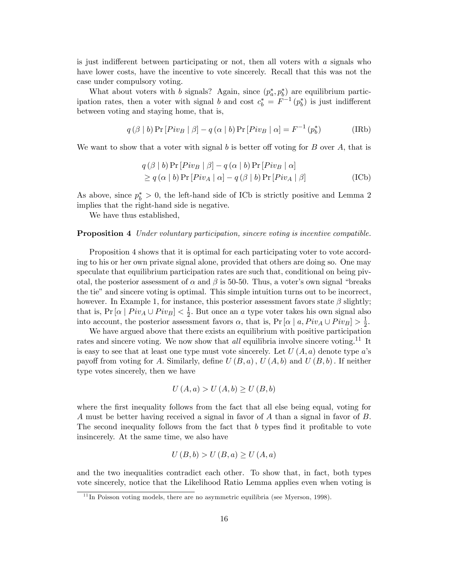is just indifferent between participating or not, then all voters with  $a$  signals who have lower costs, have the incentive to vote sincerely. Recall that this was not the case under compulsory voting.

What about voters with b signals? Again, since  $(p_a^*, p_b^*)$  are equilibrium participation rates, then a voter with signal b and cost  $c_b^* = F^{-1}(p_b^*)$  is just indifferent between voting and staying home, that is,

$$
q(\beta | b) \Pr[Piv_B | \beta] - q(\alpha | b) \Pr[Piv_B | \alpha] = F^{-1}(p_b^*)
$$
 (IRb)

We want to show that a voter with signal b is better of voting for  $B$  over  $A$ , that is

$$
q(\beta | b) \Pr [Piv_B | \beta] - q(\alpha | b) \Pr [Piv_B | \alpha]
$$
  
\n
$$
\geq q(\alpha | b) \Pr [Piv_A | \alpha] - q(\beta | b) \Pr [Piv_A | \beta]
$$
 (ICb)

As above, since  $p_b^* > 0$ , the left-hand side of ICb is strictly positive and Lemma 2 implies that the right-hand side is negative.

We have thus established,

#### **Proposition 4** Under voluntary participation, sincere voting is incentive compatible.

Proposition 4 shows that it is optimal for each participating voter to vote according to his or her own private signal alone, provided that others are doing so. One may speculate that equilibrium participation rates are such that, conditional on being pivotal, the posterior assessment of  $\alpha$  and  $\beta$  is 50-50. Thus, a voter's own signal "breaks" the tie" and sincere voting is optimal. This simple intuition turns out to be incorrect, however. In Example 1, for instance, this posterior assessment favors state  $\beta$  slightly; that is,  $Pr\left[\alpha \mid Piv_A \cup Piv_B\right] < \frac{1}{2}$  $\frac{1}{2}$ . But once an *a* type voter takes his own signal also into account, the posterior assessment favors  $\alpha$ , that is,  $Pr[\alpha \mid a, Piv_A \cup Piv_B] > \frac{1}{2}$  $\frac{1}{2}$ .

We have argued above that there exists an equilibrium with positive participation rates and sincere voting. We now show that *all* equilibria involve sincere voting.<sup>11</sup> It is easy to see that at least one type must vote sincerely. Let  $U(A, a)$  denote type a's payoff from voting for A. Similarly, define  $U(B, a)$ ,  $U(A, b)$  and  $U(B, b)$ . If neither type votes sincerely, then we have

$$
U(A, a) > U(A, b) \ge U(B, b)
$$

where the first inequality follows from the fact that all else being equal, voting for A must be better having received a signal in favor of A than a signal in favor of B: The second inequality follows from the fact that  $b$  types find it profitable to vote insincerely. At the same time, we also have

$$
U(B,b) > U(B,a) \ge U(A,a)
$$

and the two inequalities contradict each other. To show that, in fact, both types vote sincerely, notice that the Likelihood Ratio Lemma applies even when voting is

 $11$ In Poisson voting models, there are no asymmetric equilibria (see Myerson, 1998).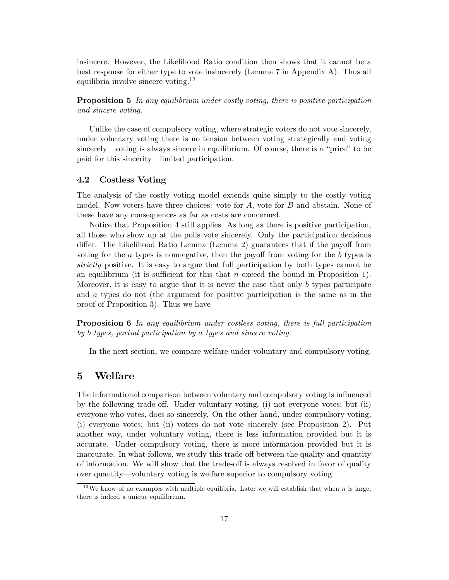insincere. However, the Likelihood Ratio condition then shows that it cannot be a best response for either type to vote insincerely (Lemma 7 in Appendix A). Thus all equilibria involve sincere voting.<sup>12</sup>

**Proposition 5** In any equilibrium under costly voting, there is positive participation and sincere voting.

Unlike the case of compulsory voting, where strategic voters do not vote sincerely, under voluntary voting there is no tension between voting strategically and voting sincerely—voting is always sincere in equilibrium. Of course, there is a "price" to be paid for this sincerity—limited participation.

### 4.2 Costless Voting

The analysis of the costly voting model extends quite simply to the costly voting model. Now voters have three choices: vote for  $A$ , vote for  $B$  and abstain. None of these have any consequences as far as costs are concerned.

Notice that Proposition 4 still applies. As long as there is positive participation, all those who show up at the polls vote sincerely. Only the participation decisions differ. The Likelihood Ratio Lemma (Lemma 2) guarantees that if the payoff from voting for the  $\alpha$  types is nonnegative, then the payoff from voting for the  $\delta$  types is strictly positive. It is easy to argue that full participation by both types cannot be an equilibrium (it is sufficient for this that n exceed the bound in Proposition 1). Moreover, it is easy to argue that it is never the case that only  $b$  types participate and a types do not (the argument for positive participation is the same as in the proof of Proposition 3). Thus we have

Proposition 6 In any equilibrium under costless voting, there is full participation by b types, partial participation by a types and sincere voting.

In the next section, we compare welfare under voluntary and compulsory voting.

# 5 Welfare

The informational comparison between voluntary and compulsory voting is ináuenced by the following trade-off. Under voluntary voting, (i) not everyone votes; but (ii) everyone who votes, does so sincerely. On the other hand, under compulsory voting, (i) everyone votes; but (ii) voters do not vote sincerely (see Proposition 2). Put another way, under voluntary voting, there is less information provided but it is accurate. Under compulsory voting, there is more information provided but it is inaccurate. In what follows, we study this trade-off between the quality and quantity of information. We will show that the trade-off is always resolved in favor of quality over quantity—voluntary voting is welfare superior to compulsory voting.

<sup>&</sup>lt;sup>12</sup>We know of no examples with multiple equilibria. Later we will establish that when n is large, there is indeed a unique equilibrium.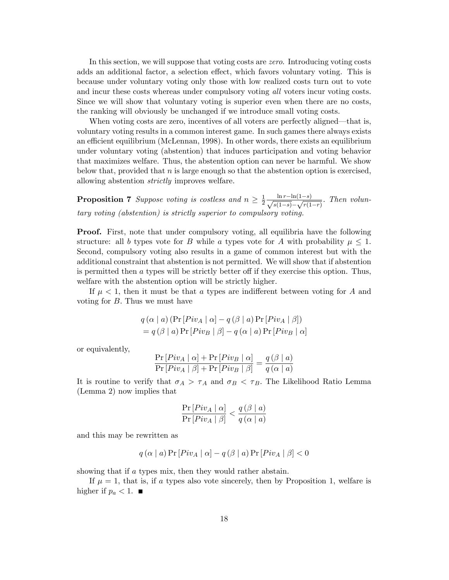In this section, we will suppose that voting costs are *zero*. Introducing voting costs adds an additional factor, a selection effect, which favors voluntary voting. This is because under voluntary voting only those with low realized costs turn out to vote and incur these costs whereas under compulsory voting all voters incur voting costs. Since we will show that voluntary voting is superior even when there are no costs, the ranking will obviously be unchanged if we introduce small voting costs.

When voting costs are zero, incentives of all voters are perfectly aligned—that is, voluntary voting results in a common interest game. In such games there always exists an efficient equilibrium (McLennan, 1998). In other words, there exists an equilibrium under voluntary voting (abstention) that induces participation and voting behavior that maximizes welfare. Thus, the abstention option can never be harmful. We show below that, provided that  $n$  is large enough so that the abstention option is exercised, allowing abstention strictly improves welfare.

**Proposition 7** Suppose voting is costless and  $n \geq \frac{1}{2}$  $\frac{1}{2} \frac{\ln r - \ln(1-s)}{\sqrt{s(1-s)} - \sqrt{r(1-s)}}$  $\frac{m}{s(1-s)} - \sqrt{r(1-r)}$ : Then voluntary voting (abstention) is strictly superior to compulsory voting.

**Proof.** First, note that under compulsory voting, all equilibria have the following structure: all b types vote for B while a types vote for A with probability  $\mu \leq 1$ . Second, compulsory voting also results in a game of common interest but with the additional constraint that abstention is not permitted. We will show that if abstention is permitted then  $\alpha$  types will be strictly better off if they exercise this option. Thus, welfare with the abstention option will be strictly higher.

If  $\mu < 1$ , then it must be that a types are indifferent between voting for A and voting for  $B$ . Thus we must have

$$
q(\alpha | a) (\Pr[Piv_A | \alpha] - q(\beta | a) \Pr[Piv_A | \beta])
$$
  
=  $q(\beta | a) \Pr[Piv_B | \beta] - q(\alpha | a) \Pr[Piv_B | \alpha]$ 

or equivalently,

$$
\frac{\Pr[Piv_A | \alpha] + \Pr[Piv_B | \alpha]}{\Pr[Piv_A | \beta] + \Pr[Piv_B | \beta]} = \frac{q(\beta | a)}{q(\alpha | a)}
$$

It is routine to verify that  $\sigma_A > \tau_A$  and  $\sigma_B < \tau_B$ . The Likelihood Ratio Lemma (Lemma 2) now implies that

$$
\frac{\Pr\left[Piv_A \mid \alpha\right]}{\Pr\left[Piv_A \mid \beta\right]} < \frac{q\left(\beta \mid a\right)}{q\left(\alpha \mid a\right)}
$$

and this may be rewritten as

$$
q(\alpha | a) \Pr [Piv_A | \alpha] - q(\beta | a) \Pr [Piv_A | \beta] < 0
$$

showing that if a types mix, then they would rather abstain.

If  $\mu = 1$ , that is, if a types also vote sincerely, then by Proposition 1, welfare is higher if  $p_a < 1$ .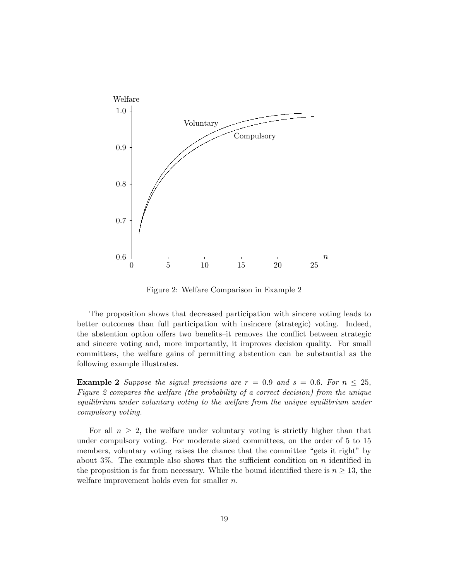

Figure 2: Welfare Comparison in Example 2

The proposition shows that decreased participation with sincere voting leads to better outcomes than full participation with insincere (strategic) voting. Indeed, the abstention option offers two benefits–it removes the conflict between strategic and sincere voting and, more importantly, it improves decision quality. For small committees, the welfare gains of permitting abstention can be substantial as the following example illustrates.

**Example 2** Suppose the signal precisions are  $r = 0.9$  and  $s = 0.6$ . For  $n \leq 25$ , Figure 2 compares the welfare (the probability of a correct decision) from the unique equilibrium under voluntary voting to the welfare from the unique equilibrium under compulsory voting.

For all  $n \geq 2$ , the welfare under voluntary voting is strictly higher than that under compulsory voting. For moderate sized committees, on the order of 5 to 15 members, voluntary voting raises the chance that the committee "gets it right" by about 3%. The example also shows that the sufficient condition on n identified in the proposition is far from necessary. While the bound identified there is  $n \geq 13$ , the welfare improvement holds even for smaller  $n$ .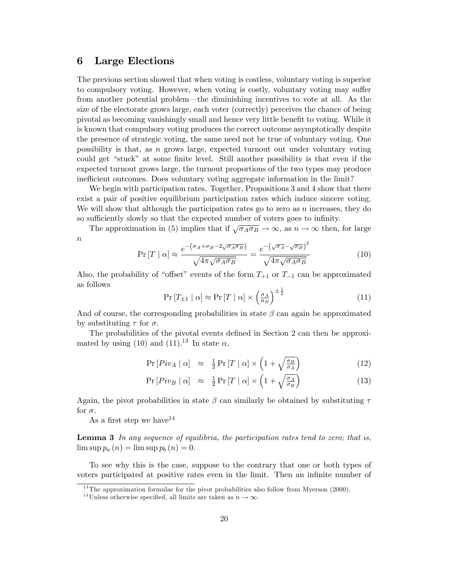### 6 Large Elections

The previous section showed that when voting is costless, voluntary voting is superior to compulsory voting. However, when voting is costly, voluntary voting may suffer from another potential problem—the diminishing incentives to vote at all. As the size of the electorate grows large, each voter (correctly) perceives the chance of being pivotal as becoming vanishingly small and hence very little benefit to voting. While it is known that compulsory voting produces the correct outcome asymptotically despite the presence of strategic voting, the same need not be true of voluntary voting. One possibility is that, as n grows large, expected turnout out under voluntary voting could get "stuck" at some finite level. Still another possibility is that even if the expected turnout grows large, the turnout proportions of the two types may produce inefficient outcomes. Does voluntary voting aggregate information in the limit?

We begin with participation rates. Together, Propositions 3 and 4 show that there exist a pair of positive equilibrium participation rates which induce sincere voting. We will show that although the participation rates go to zero as  $n$  increases, they do so sufficiently slowly so that the expected number of voters goes to infinity.

The approximation in (5) implies that if  $\sqrt{\sigma_A \sigma_B} \to \infty$ , as  $n \to \infty$  then, for large  $\boldsymbol{n}$ 

$$
\Pr\left[T \mid \alpha\right] \approx \frac{e^{-\left(\sigma_A + \sigma_B - 2\sqrt{\sigma_A \sigma_B}\right)}}{\sqrt{4\pi\sqrt{\sigma_A \sigma_B}}} = \frac{e^{-\left(\sqrt{\sigma_A} - \sqrt{\sigma_B}\right)^2}}{\sqrt{4\pi\sqrt{\sigma_A \sigma_B}}}
$$
(10)

Also, the probability of "offset" events of the form  $T_{+1}$  or  $T_{-1}$  can be approximated as follows

$$
\Pr\left[T_{\pm 1} \mid \alpha\right] \approx \Pr\left[T \mid \alpha\right] \times \left(\frac{\sigma_A}{\sigma_B}\right)^{\pm \frac{1}{2}}\tag{11}
$$

And of course, the corresponding probabilities in state  $\beta$  can again be approximated by substituting  $\tau$  for  $\sigma$ .

The probabilities of the pivotal events defined in Section 2 can then be approximated by using (10) and (11).<sup>13</sup> In state  $\alpha$ ,

$$
\Pr\left[Piv_A \mid \alpha\right] \approx \frac{1}{2} \Pr\left[T \mid \alpha\right] \times \left(1 + \sqrt{\frac{\sigma_B}{\sigma_A}}\right) \tag{12}
$$

$$
\Pr\left[Piv_B \mid \alpha\right] \approx \frac{1}{2} \Pr\left[T \mid \alpha\right] \times \left(1 + \sqrt{\frac{\sigma_A}{\sigma_B}}\right) \tag{13}
$$

Again, the pivot probabilities in state  $\beta$  can similarly be obtained by substituting  $\tau$ for  $\sigma$ .

As a first step we have  $14$ 

**Lemma 3** In any sequence of equilibria, the participation rates tend to zero; that is,  $\limsup p_a(n) = \limsup p_b(n) = 0.$ 

To see why this is the case, suppose to the contrary that one or both types of voters participated at positive rates even in the limit. Then an infinite number of

<sup>&</sup>lt;sup>13</sup>The approximation formulae for the pivot probabilities also follow from Myerson  $(2000)$ .

<sup>&</sup>lt;sup>14</sup>Unless otherwise specified, all limits are taken as  $n \to \infty$ .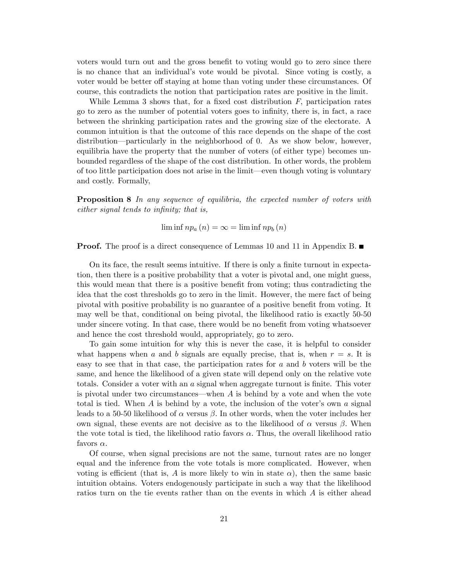voters would turn out and the gross benefit to voting would go to zero since there is no chance that an individualís vote would be pivotal. Since voting is costly, a voter would be better off staying at home than voting under these circumstances. Of course, this contradicts the notion that participation rates are positive in the limit.

While Lemma 3 shows that, for a fixed cost distribution  $F$ , participation rates go to zero as the number of potential voters goes to infinity, there is, in fact, a race between the shrinking participation rates and the growing size of the electorate. A common intuition is that the outcome of this race depends on the shape of the cost distribution—particularly in the neighborhood of 0. As we show below, however, equilibria have the property that the number of voters (of either type) becomes unbounded regardless of the shape of the cost distribution. In other words, the problem of too little participation does not arise in the limit—even though voting is voluntary and costly. Formally,

**Proposition 8** In any sequence of equilibria, the expected number of voters with  $either$  signal tends to infinity; that is,

 $\liminf np_a(n) = \infty = \liminf np_b(n)$ 

**Proof.** The proof is a direct consequence of Lemmas 10 and 11 in Appendix B.

On its face, the result seems intuitive. If there is only a finite turnout in expectation, then there is a positive probability that a voter is pivotal and, one might guess, this would mean that there is a positive benefit from voting; thus contradicting the idea that the cost thresholds go to zero in the limit. However, the mere fact of being pivotal with positive probability is no guarantee of a positive benefit from voting. It may well be that, conditional on being pivotal, the likelihood ratio is exactly 50-50 under sincere voting. In that case, there would be no benefit from voting whatsoever and hence the cost threshold would, appropriately, go to zero.

To gain some intuition for why this is never the case, it is helpful to consider what happens when a and b signals are equally precise, that is, when  $r = s$ . It is easy to see that in that case, the participation rates for  $a$  and  $b$  voters will be the same, and hence the likelihood of a given state will depend only on the relative vote totals. Consider a voter with an a signal when aggregate turnout is finite. This voter is pivotal under two circumstances—when  $A$  is behind by a vote and when the vote total is tied. When A is behind by a vote, the inclusion of the voter's own  $a$  signal leads to a 50-50 likelihood of  $\alpha$  versus  $\beta$ . In other words, when the voter includes her own signal, these events are not decisive as to the likelihood of  $\alpha$  versus  $\beta$ . When the vote total is tied, the likelihood ratio favors  $\alpha$ . Thus, the overall likelihood ratio favors  $\alpha$ .

Of course, when signal precisions are not the same, turnout rates are no longer equal and the inference from the vote totals is more complicated. However, when voting is efficient (that is, A is more likely to win in state  $\alpha$ ), then the same basic intuition obtains. Voters endogenously participate in such a way that the likelihood ratios turn on the tie events rather than on the events in which A is either ahead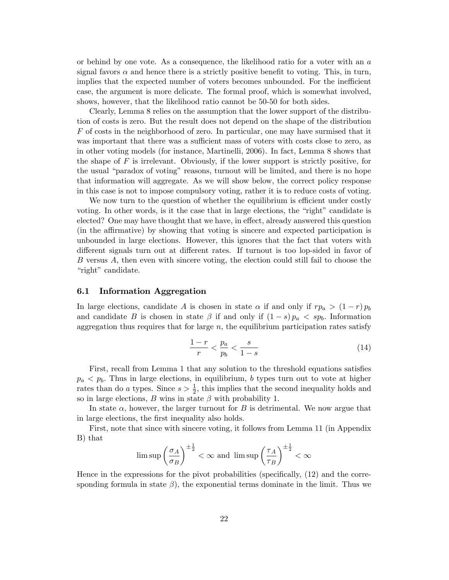or behind by one vote. As a consequence, the likelihood ratio for a voter with an  $a$ signal favors  $\alpha$  and hence there is a strictly positive benefit to voting. This, in turn, implies that the expected number of voters becomes unbounded. For the inefficient case, the argument is more delicate. The formal proof, which is somewhat involved, shows, however, that the likelihood ratio cannot be 50-50 for both sides.

Clearly, Lemma 8 relies on the assumption that the lower support of the distribution of costs is zero. But the result does not depend on the shape of the distribution F of costs in the neighborhood of zero. In particular, one may have surmised that it was important that there was a sufficient mass of voters with costs close to zero, as in other voting models (for instance, Martinelli, 2006). In fact, Lemma 8 shows that the shape of  $F$  is irrelevant. Obviously, if the lower support is strictly positive, for the usual "paradox of voting" reasons, turnout will be limited, and there is no hope that information will aggregate. As we will show below, the correct policy response in this case is not to impose compulsory voting, rather it is to reduce costs of voting.

We now turn to the question of whether the equilibrium is efficient under costly voting. In other words, is it the case that in large elections, the "right" candidate is elected? One may have thought that we have, in effect, already answered this question (in the affirmative) by showing that voting is sincere and expected participation is unbounded in large elections. However, this ignores that the fact that voters with different signals turn out at different rates. If turnout is too lop-sided in favor of B versus A, then even with sincere voting, the election could still fail to choose the "right" candidate.

#### 6.1 Information Aggregation

In large elections, candidate A is chosen in state  $\alpha$  if and only if  $rp_a > (1-r)p_b$ and candidate B is chosen in state  $\beta$  if and only if  $(1-s)p_a < sp_b$ . Information aggregation thus requires that for large  $n$ , the equilibrium participation rates satisfy

$$
\frac{1-r}{r} < \frac{p_a}{p_b} < \frac{s}{1-s} \tag{14}
$$

First, recall from Lemma 1 that any solution to the threshold equations satisfies  $p_a < p_b$ . Thus in large elections, in equilibrium, b types turn out to vote at higher rates than do a types. Since  $s > \frac{1}{2}$ , this implies that the second inequality holds and so in large elections, B wins in state  $\beta$  with probability 1.

In state  $\alpha$ , however, the larger turnout for B is detrimental. We now argue that in large elections, the first inequality also holds.

First, note that since with sincere voting, it follows from Lemma 11 (in Appendix B) that

$$
\limsup \left(\frac{\sigma_A}{\sigma_B}\right)^{\pm \frac{1}{2}} < \infty \text{ and } \limsup \left(\frac{\tau_A}{\tau_B}\right)^{\pm \frac{1}{2}} < \infty
$$

Hence in the expressions for the pivot probabilities (specifically,  $(12)$ ) and the corresponding formula in state  $\beta$ ), the exponential terms dominate in the limit. Thus we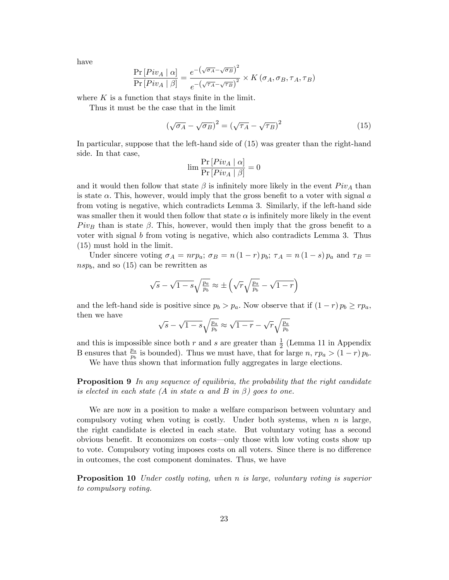have

$$
\frac{\Pr\left[Piv_A \mid \alpha\right]}{\Pr\left[Piv_A \mid \beta\right]} = \frac{e^{-\left(\sqrt{\sigma_A} - \sqrt{\sigma_B}\right)^2}}{e^{-\left(\sqrt{\tau_A} - \sqrt{\tau_B}\right)^2}} \times K\left(\sigma_A, \sigma_B, \tau_A, \tau_B\right)
$$

where  $K$  is a function that stays finite in the limit.

Thus it must be the case that in the limit

$$
\left(\sqrt{\sigma_A} - \sqrt{\sigma_B}\right)^2 = \left(\sqrt{\tau_A} - \sqrt{\tau_B}\right)^2\tag{15}
$$

In particular, suppose that the left-hand side of (15) was greater than the right-hand side. In that case,

$$
\lim \frac{\Pr\left[Piv_A \mid \alpha\right]}{\Pr\left[Piv_A \mid \beta\right]} = 0
$$

and it would then follow that state  $\beta$  is infinitely more likely in the event  $Piv_A$  than is state  $\alpha$ . This, however, would imply that the gross benefit to a voter with signal  $\alpha$ from voting is negative, which contradicts Lemma 3. Similarly, if the left-hand side was smaller then it would then follow that state  $\alpha$  is infinitely more likely in the event  $Piv_B$  than is state  $\beta$ . This, however, would then imply that the gross benefit to a voter with signal b from voting is negative, which also contradicts Lemma 3. Thus (15) must hold in the limit.

Under sincere voting  $\sigma_A = n r p_a$ ;  $\sigma_B = n (1 - r) p_b$ ;  $\tau_A = n (1 - s) p_a$  and  $\tau_B =$  $nsp_b$ , and so (15) can be rewritten as

$$
\sqrt{s} - \sqrt{1 - s} \sqrt{\frac{p_a}{p_b}} \approx \pm \left( \sqrt{r} \sqrt{\frac{p_a}{p_b}} - \sqrt{1 - r} \right)
$$

and the left-hand side is positive since  $p_b > p_a$ . Now observe that if  $(1 - r) p_b \ge r p_a$ , then we have

$$
\sqrt{s} - \sqrt{1-s} \sqrt{\tfrac{p_a}{p_b}} \approx \sqrt{1-r} - \sqrt{r} \sqrt{\tfrac{p_a}{p_b}}
$$

and this is impossible since both r and s are greater than  $\frac{1}{2}$  (Lemma 11 in Appendix B ensures that  $\frac{p_a}{p_b}$  is bounded). Thus we must have, that for large n,  $rp_a > (1-r)p_b$ .

We have thus shown that information fully aggregates in large elections.

**Proposition 9** In any sequence of equilibria, the probability that the right candidate is elected in each state (A in state  $\alpha$  and B in  $\beta$ ) goes to one.

We are now in a position to make a welfare comparison between voluntary and compulsory voting when voting is costly. Under both systems, when  $n$  is large, the right candidate is elected in each state. But voluntary voting has a second obvious benefit. It economizes on costs—only those with low voting costs show up to vote. Compulsory voting imposes costs on all voters. Since there is no difference in outcomes, the cost component dominates. Thus, we have

Proposition 10 Under costly voting, when n is large, voluntary voting is superior to compulsory voting.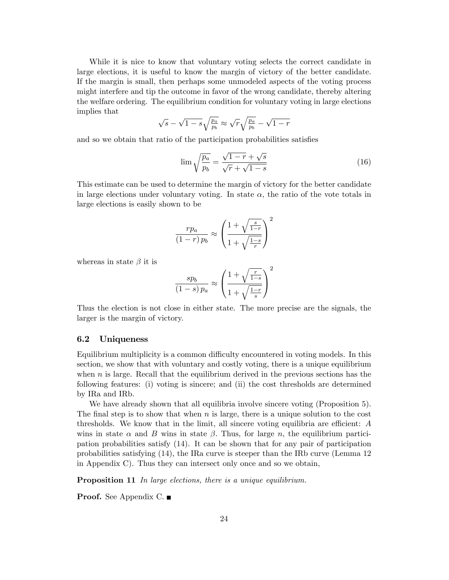While it is nice to know that voluntary voting selects the correct candidate in large elections, it is useful to know the margin of victory of the better candidate. If the margin is small, then perhaps some unmodeled aspects of the voting process might interfere and tip the outcome in favor of the wrong candidate, thereby altering the welfare ordering. The equilibrium condition for voluntary voting in large elections implies that

$$
\sqrt{s} - \sqrt{1 - s} \sqrt{\frac{p_a}{p_b}} \approx \sqrt{r} \sqrt{\frac{p_a}{p_b}} - \sqrt{1 - r}
$$

and so we obtain that ratio of the participation probabilities satisfies

$$
\lim \sqrt{\frac{p_a}{p_b}} = \frac{\sqrt{1-r} + \sqrt{s}}{\sqrt{r} + \sqrt{1-s}}
$$
\n(16)

This estimate can be used to determine the margin of victory for the better candidate in large elections under voluntary voting. In state  $\alpha$ , the ratio of the vote totals in large elections is easily shown to be

$$
\frac{rp_a}{\left(1-r\right)p_b} \approx \left(\frac{1+\sqrt{\frac{s}{1-r}}}{1+\sqrt{\frac{1-s}{r}}}\right)^2
$$

whereas in state  $\beta$  it is

$$
\frac{sp_b}{(1-s)\,p_a} \approx \left(\frac{1+\sqrt{\frac{r}{1-s}}}{1+\sqrt{\frac{1-r}{s}}}\right)^2
$$

Thus the election is not close in either state. The more precise are the signals, the larger is the margin of victory.

#### 6.2 Uniqueness

Equilibrium multiplicity is a common difficulty encountered in voting models. In this section, we show that with voluntary and costly voting, there is a unique equilibrium when  $n$  is large. Recall that the equilibrium derived in the previous sections has the following features: (i) voting is sincere; and (ii) the cost thresholds are determined by IRa and IRb.

We have already shown that all equilibria involve sincere voting (Proposition 5). The final step is to show that when  $n$  is large, there is a unique solution to the cost thresholds. We know that in the limit, all sincere voting equilibria are efficient:  $A$ wins in state  $\alpha$  and B wins in state  $\beta$ . Thus, for large n, the equilibrium participation probabilities satisfy (14). It can be shown that for any pair of participation probabilities satisfying (14), the IRa curve is steeper than the IRb curve (Lemma 12 in Appendix C). Thus they can intersect only once and so we obtain,

**Proposition 11** In large elections, there is a unique equilibrium.

Proof. See Appendix C. ■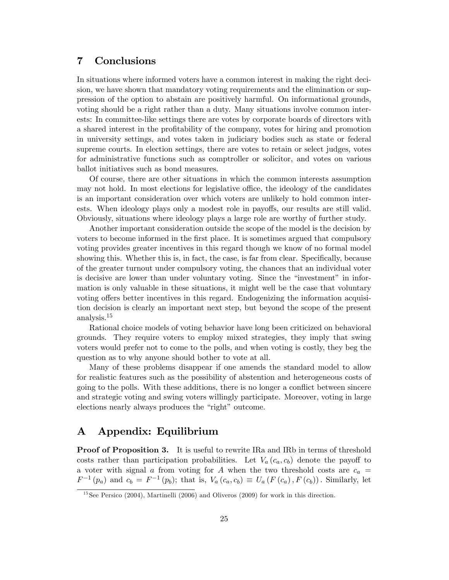# 7 Conclusions

In situations where informed voters have a common interest in making the right decision, we have shown that mandatory voting requirements and the elimination or suppression of the option to abstain are positively harmful. On informational grounds, voting should be a right rather than a duty. Many situations involve common interests: In committee-like settings there are votes by corporate boards of directors with a shared interest in the profitability of the company, votes for hiring and promotion in university settings, and votes taken in judiciary bodies such as state or federal supreme courts. In election settings, there are votes to retain or select judges, votes for administrative functions such as comptroller or solicitor, and votes on various ballot initiatives such as bond measures.

Of course, there are other situations in which the common interests assumption may not hold. In most elections for legislative office, the ideology of the candidates is an important consideration over which voters are unlikely to hold common interests. When ideology plays only a modest role in payoffs, our results are still valid. Obviously, situations where ideology plays a large role are worthy of further study.

Another important consideration outside the scope of the model is the decision by voters to become informed in the Örst place. It is sometimes argued that compulsory voting provides greater incentives in this regard though we know of no formal model showing this. Whether this is, in fact, the case, is far from clear. Specifically, because of the greater turnout under compulsory voting, the chances that an individual voter is decisive are lower than under voluntary voting. Since the "investment" in information is only valuable in these situations, it might well be the case that voluntary voting offers better incentives in this regard. Endogenizing the information acquisition decision is clearly an important next step, but beyond the scope of the present analysis.<sup>15</sup>

Rational choice models of voting behavior have long been criticized on behavioral grounds. They require voters to employ mixed strategies, they imply that swing voters would prefer not to come to the polls, and when voting is costly, they beg the question as to why anyone should bother to vote at all.

Many of these problems disappear if one amends the standard model to allow for realistic features such as the possibility of abstention and heterogeneous costs of going to the polls. With these additions, there is no longer a conáict between sincere and strategic voting and swing voters willingly participate. Moreover, voting in large elections nearly always produces the "right" outcome.

# A Appendix: Equilibrium

**Proof of Proposition 3.** It is useful to rewrite IRa and IRb in terms of threshold costs rather than participation probabilities. Let  $V_a(c_a, c_b)$  denote the payoff to a voter with signal a from voting for A when the two threshold costs are  $c_a$  =  $F^{-1}(p_a)$  and  $c_b = F^{-1}(p_b)$ ; that is,  $V_a(c_a, c_b) \equiv U_a(F(c_a), F(c_b))$ . Similarly, let

 $15$ See Persico (2004), Martinelli (2006) and Oliveros (2009) for work in this direction.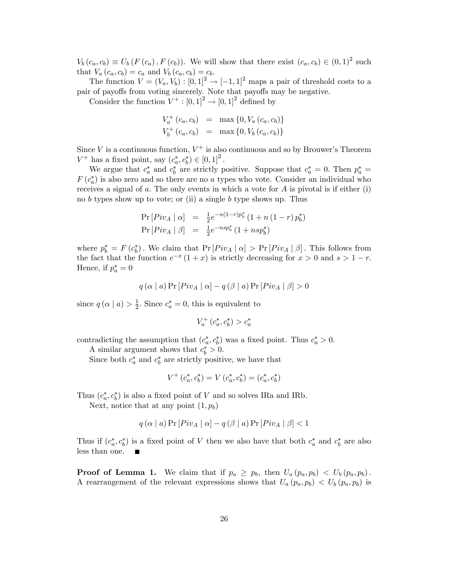$V_b(c_a, c_b) \equiv U_b(F(c_a), F(c_b))$ . We will show that there exist  $(c_a, c_b) \in (0, 1)^2$  such that  $V_a(c_a, c_b) = c_a$  and  $V_b(c_a, c_b) = c_b$ .

The function  $V = (V_a, V_b) : [0, 1]^2 \rightarrow [-1, 1]^2$  maps a pair of threshold costs to a pair of payoffs from voting sincerely. Note that payoffs may be negative.

Consider the function  $V^+ : [0, 1]^2 \to [0, 1]^2$  defined by

$$
V_a^+(c_a, c_b) = \max\{0, V_a(c_a, c_b)\}
$$
  

$$
V_b^+(c_a, c_b) = \max\{0, V_b(c_a, c_b)\}
$$

Since V is a continuous function,  $V^+$  is also continuous and so by Brouwer's Theorem  $V^+$  has a fixed point, say  $(c_a^*, c_b^*) \in [0, 1]^2$ .

We argue that  $c_a^*$  and  $c_b^*$  are strictly positive. Suppose that  $c_a^* = 0$ . Then  $p_a^* =$  $F(c_a^*)$  is also zero and so there are no a types who vote. Consider an individual who receives a signal of  $a$ . The only events in which a vote for  $A$  is pivotal is if either (i) no b types show up to vote; or (ii) a single b type shows up. Thus

$$
Pr[Piv_A | \alpha] = \frac{1}{2}e^{-n(1-r)p_b^*} (1 + n(1-r)p_b^*)
$$
  
\n
$$
Pr[Piv_A | \beta] = \frac{1}{2}e^{-nsp_b^*} (1 + nsp_b^*)
$$

where  $p_b^* = F(c_b^*)$ . We claim that  $Pr[Piv_A | \alpha] > Pr[Piv_A | \beta]$ . This follows from the fact that the function  $e^{-x}(1+x)$  is strictly decreasing for  $x > 0$  and  $s > 1 - r$ . Hence, if  $p_a^* = 0$ 

$$
q(\alpha | a) \Pr [Piv_A | \alpha] - q(\beta | a) \Pr [Piv_A | \beta] > 0
$$

since  $q(\alpha \mid a) > \frac{1}{2}$  $\frac{1}{2}$ . Since  $c_a^* = 0$ , this is equivalent to

$$
V^+_a(c^*_a, c^*_b) > c^*_a
$$

contradicting the assumption that  $(c_a^*, c_b^*)$  was a fixed point. Thus  $c_a^* > 0$ .

A similar argument shows that  $c_b^* > 0$ .

Since both  $c_a^*$  and  $c_b^*$  are strictly positive, we have that

$$
V^+\left(c_a^*, c_b^*\right) = V\left(c_a^*, c_b^*\right) = \left(c_a^*, c_b^*\right)
$$

Thus  $(c_a^*, c_b^*)$  is also a fixed point of V and so solves IRa and IRb.

Next, notice that at any point  $(1, p_b)$ 

$$
q(\alpha | a) \Pr [Piv_A | \alpha] - q(\beta | a) \Pr [Piv_A | \beta] < 1
$$

Thus if  $(c_a^*, c_b^*)$  is a fixed point of V then we also have that both  $c_a^*$  and  $c_b^*$  are also less than one.

**Proof of Lemma 1.** We claim that if  $p_a \geq p_b$ , then  $U_a(p_a, p_b) < U_b(p_a, p_b)$ . A rearrangement of the relevant expressions shows that  $U_a(p_a, p_b) < U_b(p_a, p_b)$  is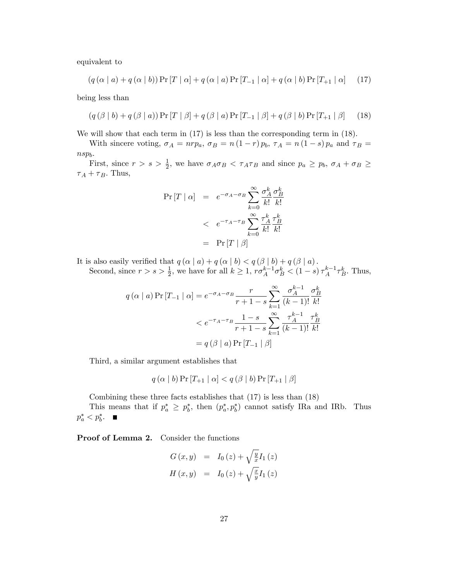equivalent to

$$
(q(\alpha | a) + q(\alpha | b))
$$
Pr $[T | \alpha] + q(\alpha | a)$ Pr $[T_{-1} | \alpha] + q(\alpha | b)$ Pr $[T_{+1} | \alpha]$  (17)

being less than

$$
(q(\beta | b) + q(\beta | a)) \Pr[T | \beta] + q(\beta | a) \Pr[T_{-1} | \beta] + q(\beta | b) \Pr[T_{+1} | \beta] \tag{18}
$$

We will show that each term in  $(17)$  is less than the corresponding term in  $(18)$ .

With sincere voting,  $\sigma_A = n r p_a$ ,  $\sigma_B = n (1 - r) p_b$ ,  $\tau_A = n (1 - s) p_a$  and  $\tau_B =$ nspb:

First, since  $r > s > \frac{1}{2}$ , we have  $\sigma_A \sigma_B < \tau_A \tau_B$  and since  $p_a \geq p_b$ ,  $\sigma_A + \sigma_B \geq$  $\tau_A + \tau_B$ . Thus,

$$
\Pr\left[T \mid \alpha\right] = e^{-\sigma_A - \sigma_B} \sum_{k=0}^{\infty} \frac{\sigma_A^k}{k!} \frac{\sigma_B^k}{k!}
$$

$$
< e^{-\tau_A - \tau_B} \sum_{k=0}^{\infty} \frac{\tau_A^k}{k!} \frac{\tau_B^k}{k!}
$$

$$
= \Pr\left[T \mid \beta\right]
$$

It is also easily verified that  $q(\alpha \mid a) + q(\alpha \mid b) < q(\beta \mid b) + q(\beta \mid a)$ . Second, since  $r > s > \frac{1}{2}$ , we have for all  $k \geq 1$ ,  $r\sigma_A^{k-1}\sigma_B^k < (1-s)\tau_A^{k-1}\tau_B^k$ . Thus,

$$
q(\alpha | a) \Pr[T_{-1} | \alpha] = e^{-\sigma_A - \sigma_B} \frac{r}{r+1-s} \sum_{k=1}^{\infty} \frac{\sigma_A^{k-1}}{(k-1)!} \frac{\sigma_B^k}{k!}
$$
  

$$
< e^{-\tau_A - \tau_B} \frac{1-s}{r+1-s} \sum_{k=1}^{\infty} \frac{\tau_A^{k-1}}{(k-1)!} \frac{\tau_B^k}{k!}
$$
  

$$
= q(\beta | a) \Pr[T_{-1} | \beta]
$$

Third, a similar argument establishes that

 $q(\alpha | b)$  Pr  $[T_{+1} | \alpha] < q(\beta | b)$  Pr  $[T_{+1} | \beta]$ 

Combining these three facts establishes that (17) is less than (18)

This means that if  $p_a^* \geq p_b^*$ , then  $(p_a^*, p_b^*)$  cannot satisfy IRa and IRb. Thus  $p_a^* < p_b^*$ .

Proof of Lemma 2. Consider the functions

$$
G(x, y) = I_0(z) + \sqrt{\frac{y}{x}} I_1(z)
$$
  

$$
H(x, y) = I_0(z) + \sqrt{\frac{x}{y}} I_1(z)
$$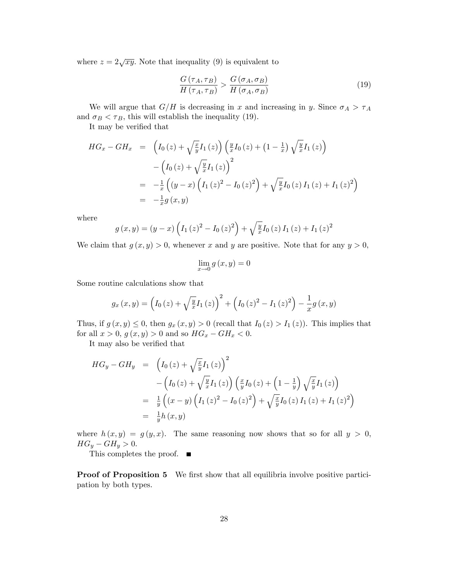where  $z = 2\sqrt{xy}$ . Note that inequality (9) is equivalent to

$$
\frac{G\left(\tau_A, \tau_B\right)}{H\left(\tau_A, \tau_B\right)} > \frac{G\left(\sigma_A, \sigma_B\right)}{H\left(\sigma_A, \sigma_B\right)}\tag{19}
$$

We will argue that  $G/H$  is decreasing in x and increasing in y. Since  $\sigma_A > \tau_A$ and  $\sigma_B < \tau_B$ , this will establish the inequality (19).

It may be verified that

$$
HG_x - GH_x = \left( I_0(z) + \sqrt{\frac{x}{y}} I_1(z) \right) \left( \frac{y}{x} I_0(z) + (1 - \frac{1}{x}) \sqrt{\frac{y}{x}} I_1(z) \right)
$$
  

$$
- \left( I_0(z) + \sqrt{\frac{y}{x}} I_1(z) \right)^2
$$
  

$$
= -\frac{1}{x} \left( (y - x) \left( I_1(z)^2 - I_0(z)^2 \right) + \sqrt{\frac{y}{x}} I_0(z) I_1(z) + I_1(z)^2 \right)
$$
  

$$
= -\frac{1}{x} g(x, y)
$$

where

$$
g(x,y) = (y-x)\left(I_1(z)^2 - I_0(z)^2\right) + \sqrt{\frac{y}{x}}I_0(z)I_1(z) + I_1(z)^2
$$

We claim that  $g(x, y) > 0$ , whenever x and y are positive. Note that for any  $y > 0$ ,

$$
\lim_{x \to 0} g(x, y) = 0
$$

Some routine calculations show that

$$
g_x(x,y) = \left(I_0(z) + \sqrt{\frac{y}{x}}I_1(z)\right)^2 + \left(I_0(z)^2 - I_1(z)^2\right) - \frac{1}{x}g(x,y)
$$

Thus, if  $g(x, y) \leq 0$ , then  $g_x(x, y) > 0$  (recall that  $I_0(z) > I_1(z)$ ). This implies that for all  $x > 0$ ,  $g(x, y) > 0$  and so  $HG_x - GH_x < 0$ .

It may also be verified that

$$
HG_y - GH_y = \left(I_0(z) + \sqrt{\frac{x}{y}}I_1(z)\right)^2
$$
  
 
$$
- \left(I_0(z) + \sqrt{\frac{y}{x}}I_1(z)\right)\left(\frac{x}{y}I_0(z) + \left(1 - \frac{1}{y}\right)\sqrt{\frac{x}{y}}I_1(z)\right)
$$
  
\n
$$
= \frac{1}{y}\left((x - y)\left(I_1(z)^2 - I_0(z)^2\right) + \sqrt{\frac{x}{y}}I_0(z)I_1(z) + I_1(z)^2\right)
$$
  
\n
$$
= \frac{1}{y}h(x, y)
$$

where  $h(x, y) = g(y, x)$ . The same reasoning now shows that so for all  $y > 0$ ,  $HG_y - GH_y > 0.$ 

This completes the proof.  $\blacksquare$ 

Proof of Proposition 5 We first show that all equilibria involve positive participation by both types.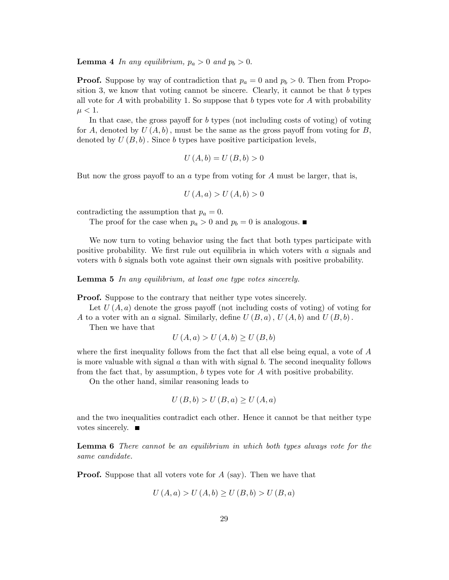#### **Lemma 4** In any equilibrium,  $p_a > 0$  and  $p_b > 0$ .

**Proof.** Suppose by way of contradiction that  $p_a = 0$  and  $p_b > 0$ . Then from Proposition 3, we know that voting cannot be sincere. Clearly, it cannot be that  $b$  types all vote for A with probability 1. So suppose that b types vote for A with probability  $\mu < 1.$ 

In that case, the gross payoff for  $b$  types (not including costs of voting) of voting for A, denoted by  $U(A, b)$ , must be the same as the gross payoff from voting for B, denoted by  $U(B, b)$ . Since b types have positive participation levels,

$$
U(A,b) = U(B,b) > 0
$$

But now the gross payoff to an  $a$  type from voting for  $A$  must be larger, that is,

$$
U\left(A,a\right) > U\left(A,b\right) > 0
$$

contradicting the assumption that  $p_a = 0$ .

The proof for the case when  $p_a > 0$  and  $p_b = 0$  is analogous.

We now turn to voting behavior using the fact that both types participate with positive probability. We first rule out equilibria in which voters with  $\alpha$  signals and voters with b signals both vote against their own signals with positive probability.

Lemma 5 In any equilibrium, at least one type votes sincerely.

Proof. Suppose to the contrary that neither type votes sincerely.

Let  $U(A, a)$  denote the gross payoff (not including costs of voting) of voting for A to a voter with an a signal. Similarly, define  $U(B, a)$ ,  $U(A, b)$  and  $U(B, b)$ .

Then we have that

$$
U(A, a) > U(A, b) \ge U(B, b)
$$

where the first inequality follows from the fact that all else being equal, a vote of  $A$ is more valuable with signal  $a$  than with with signal  $b$ . The second inequality follows from the fact that, by assumption, b types vote for A with positive probability.

On the other hand, similar reasoning leads to

$$
U(B,b) > U(B,a) \ge U(A,a)
$$

and the two inequalities contradict each other. Hence it cannot be that neither type votes sincerely.

Lemma 6 There cannot be an equilibrium in which both types always vote for the same candidate.

**Proof.** Suppose that all voters vote for A (say). Then we have that

$$
U(A, a) > U(A, b) \ge U(B, b) > U(B, a)
$$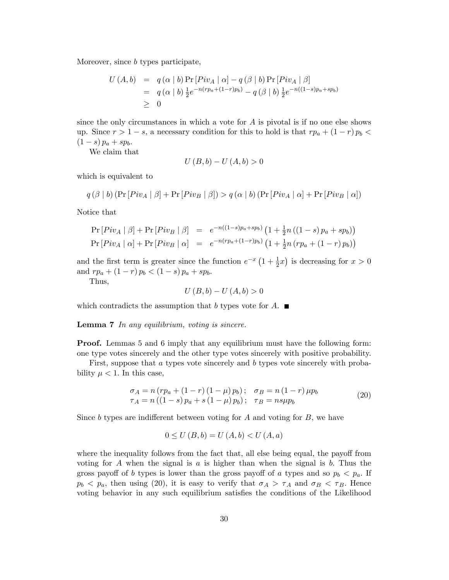Moreover, since *b* types participate,

$$
U(A,b) = q(\alpha | b) \Pr [Piv_A | \alpha] - q(\beta | b) \Pr [Piv_A | \beta]
$$
  
=  $q(\alpha | b) \frac{1}{2} e^{-n(rp_a + (1-r)p_b)} - q(\beta | b) \frac{1}{2} e^{-n((1-s)p_a + sp_b)}$   
\ge 0

since the only circumstances in which a vote for  $A$  is pivotal is if no one else shows up. Since  $r > 1 - s$ , a necessary condition for this to hold is that  $rp_a + (1 - r)p_b <$  $(1 - s) p_a + sp_b.$ 

We claim that

$$
U(B,b) - U(A,b) > 0
$$

which is equivalent to

$$
q(\beta | b) (\Pr[Piv_A | \beta] + \Pr[Piv_B | \beta]) > q(\alpha | b) (\Pr[Piv_A | \alpha] + \Pr[Piv_B | \alpha])
$$

Notice that

$$
\Pr[Piv_A | \beta] + \Pr[Piv_B | \beta] = e^{-n((1-s)p_a + sp_b)} (1 + \frac{1}{2}n((1-s)p_a + sp_b))
$$
  
\n
$$
\Pr[Piv_A | \alpha] + \Pr[Piv_B | \alpha] = e^{-n(rp_a + (1-r)p_b)} (1 + \frac{1}{2}n(rp_a + (1-r)p_b))
$$

and the first term is greater since the function  $e^{-x} \left(1 + \frac{1}{2}x\right)$  is decreasing for  $x > 0$ and  $rp_a + (1 - r)p_b < (1 - s)p_a + sp_b$ .

Thus,

$$
U(B,b) - U(A,b) > 0
$$

which contradicts the assumption that b types vote for  $A$ .

Lemma 7 In any equilibrium, voting is sincere.

**Proof.** Lemmas 5 and 6 imply that any equilibrium must have the following form: one type votes sincerely and the other type votes sincerely with positive probability.

First, suppose that a types vote sincerely and b types vote sincerely with probability  $\mu < 1$ . In this case,

$$
\begin{aligned}\n\sigma_A &= n \left( r p_a + (1 - r) (1 - \mu) p_b \right); \quad \sigma_B = n \left( 1 - r \right) \mu p_b \\
\tau_A &= n \left( (1 - s) p_a + s (1 - \mu) p_b \right); \quad \tau_B = n s \mu p_b\n\end{aligned} \tag{20}
$$

Since b types are indifferent between voting for  $A$  and voting for  $B$ , we have

$$
0 \le U(B, b) = U(A, b) < U(A, a)
$$

where the inequality follows from the fact that, all else being equal, the payoff from voting for A when the signal is a is higher than when the signal is b. Thus the gross payoff of b types is lower than the gross payoff of a types and so  $p_b < p_a$ . If  $p_b < p_a$ , then using (20), it is easy to verify that  $\sigma_A > \tau_A$  and  $\sigma_B < \tau_B$ . Hence voting behavior in any such equilibrium satisfies the conditions of the Likelihood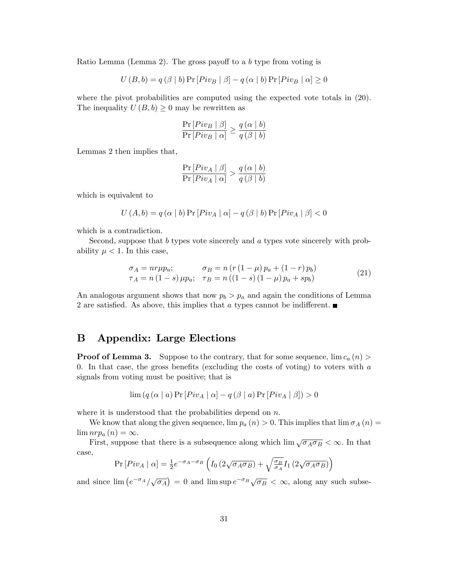Ratio Lemma (Lemma 2). The gross payoff to a b type from voting is

$$
U(B,b) = q(\beta | b) \Pr [Piv_B | \beta] - q(\alpha | b) \Pr [Piv_B | \alpha] \ge 0
$$

where the pivot probabilities are computed using the expected vote totals in  $(20)$ . The inequality  $U(B, b) \geq 0$  may be rewritten as

$$
\frac{\Pr\left[Piv_B \mid \beta\right]}{\Pr\left[Piv_B \mid \alpha\right]} \ge \frac{q\left(\alpha \mid b\right)}{q\left(\beta \mid b\right)}
$$

Lemmas 2 then implies that,

$$
\frac{\Pr\left[Piv_A \mid \beta\right]}{\Pr\left[Piv_A \mid \alpha\right]} > \frac{q\left(\alpha \mid b\right)}{q\left(\beta \mid b\right)}
$$

which is equivalent to

$$
U(A, b) = q(\alpha | b) \Pr [Piv_A | \alpha] - q(\beta | b) \Pr [Piv_A | \beta] < 0
$$

which is a contradiction.

Second, suppose that b types vote sincerely and a types vote sincerely with probability  $\mu < 1$ . In this case,

$$
\begin{aligned}\n\sigma_A &= nr\mu p_a; & \sigma_B &= n\left(r\left(1-\mu\right)p_a + \left(1-r\right)p_b\right) \\
\tau_A &= n\left(1-s\right)\mu p_a; & \tau_B &= n\left(\left(1-s\right)\left(1-\mu\right)p_a + sp_b\right)\n\end{aligned}\n\tag{21}
$$

An analogous argument shows that now  $p_b > p_a$  and again the conditions of Lemma 2 are satisfied. As above, this implies that a types cannot be indifferent.  $\blacksquare$ 

### B Appendix: Large Elections

**Proof of Lemma 3.** Suppose to the contrary, that for some sequence,  $\lim c_a(n)$ 0. In that case, the gross benefits (excluding the costs of voting) to voters with  $a$ signals from voting must be positive; that is

$$
\lim (q (\alpha \mid a) \Pr [Piv_A \mid \alpha] - q (\beta \mid a) \Pr [Piv_A \mid \beta]) > 0
$$

where it is understood that the probabilities depend on  $n$ .

We know that along the given sequence,  $\lim p_a(n) > 0$ . This implies that  $\lim \sigma_A(n) =$  $\lim nrp_a(n) = \infty.$ 

First, suppose that there is a subsequence along which  $\lim_{N \to \infty} \sqrt{\sigma_A \sigma_B} < \infty$ . In that case,

$$
\Pr\left[ Piv_A \mid \alpha \right] = \frac{1}{2} e^{-\sigma_A - \sigma_B} \left( I_0 \left( 2\sqrt{\sigma_A \sigma_B} \right) + \sqrt{\frac{\sigma_B}{\sigma_A}} I_1 \left( 2\sqrt{\sigma_A \sigma_B} \right) \right)
$$

and since  $\lim_{h \to 0} \left( e^{-\sigma_A}/\sqrt{\sigma_A} \right) = 0$  and  $\lim_{h \to 0} \sup_{h \to 0} e^{-\sigma_B} \sqrt{\sigma_B} < \infty$ , along any such subse-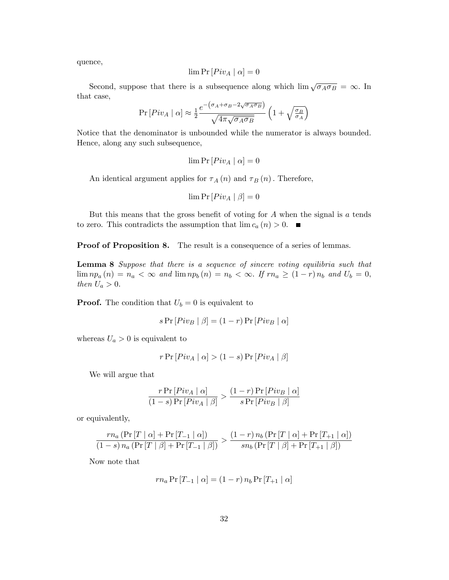quence,

$$
\lim \Pr [Piv_A | \alpha] = 0
$$

Second, suppose that there is a subsequence along which  $\lim_{\sqrt{\sigma_A \sigma_B}} = \infty$ . In that case,

$$
\Pr\left[Piv_A \mid \alpha\right] \approx \frac{1}{2} \frac{e^{-\left(\sigma_A + \sigma_B - 2\sqrt{\sigma_A \sigma_B}\right)}}{\sqrt{4\pi\sqrt{\sigma_A \sigma_B}}} \left(1 + \sqrt{\frac{\sigma_B}{\sigma_A}}\right)
$$

Notice that the denominator is unbounded while the numerator is always bounded. Hence, along any such subsequence,

$$
\lim \Pr\left[ Piv_A \mid \alpha \right] = 0
$$

An identical argument applies for  $\tau_A(n)$  and  $\tau_B(n)$ . Therefore,

$$
\lim \Pr\left[ Piv_A \mid \beta \right] = 0
$$

But this means that the gross benefit of voting for  $A$  when the signal is  $a$  tends to zero. This contradicts the assumption that  $\lim c_a(n) > 0$ .

Proof of Proposition 8. The result is a consequence of a series of lemmas.

Lemma 8 Suppose that there is a sequence of sincere voting equilibria such that  $\lim_{n \to \infty} n p_a(n) = n_a < \infty$  and  $\lim_{n \to \infty} n p_b(n) = n_b < \infty$ . If  $r n_a \geq (1 - r) n_b$  and  $U_b = 0$ , then  $U_a > 0$ .

**Proof.** The condition that  $U_b = 0$  is equivalent to

$$
s \Pr[Piv_B | \beta] = (1 - r) \Pr[Piv_B | \alpha]
$$

whereas  $U_a > 0$  is equivalent to

$$
r \Pr\left[ Piv_A \mid \alpha \right] > (1 - s) \Pr\left[ Piv_A \mid \beta \right]
$$

We will argue that

$$
\frac{r\Pr\left[Piv_A \mid \alpha\right]}{(1-s)\Pr\left[Piv_A \mid \beta\right]} > \frac{(1-r)\Pr\left[Piv_B \mid \alpha\right]}{s\Pr\left[Piv_B \mid \beta\right]}
$$

or equivalently,

$$
\frac{rn_a\left(\Pr\left[T \mid \alpha\right] + \Pr\left[T_{-1} \mid \alpha\right]\right)}{(1-s)\,n_a\left(\Pr\left[T \mid \beta\right] + \Pr\left[T_{-1} \mid \beta\right]\right)} > \frac{(1-r)\,n_b\left(\Pr\left[T \mid \alpha\right] + \Pr\left[T_{+1} \mid \alpha\right]\right)}{sn_b\left(\Pr\left[T \mid \beta\right] + \Pr\left[T_{+1} \mid \beta\right]\right)}
$$

Now note that

$$
rn_a \Pr[T_{-1} | \alpha] = (1 - r) n_b \Pr[T_{+1} | \alpha]
$$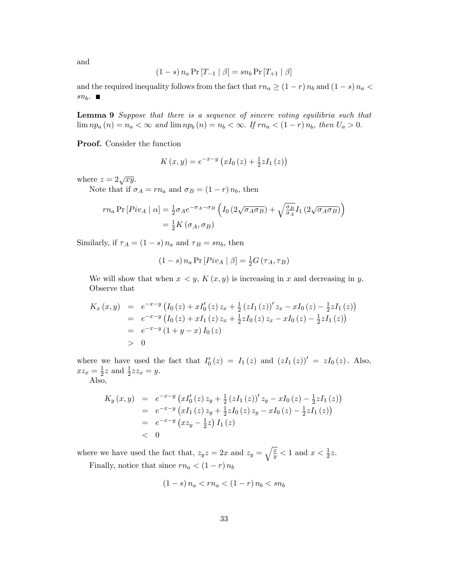and

$$
(1 - s) n_a \Pr[T_{-1} | \beta] = sn_b \Pr[T_{+1} | \beta]
$$

and the required inequality follows from the fact that  $rn_a \geq (1 - r) n_b$  and  $(1 - s) n_a$  $sn_b$ .

Lemma 9 Suppose that there is a sequence of sincere voting equilibria such that  $\lim_{n \to \infty} n p_a(n) = n_a < \infty$  and  $\lim_{n \to \infty} n p_b(n) = n_b < \infty$ . If  $r n_a < (1 - r) n_b$ , then  $U_a > 0$ .

Proof. Consider the function

$$
K(x, y) = e^{-x-y} \left( xI_0(z) + \frac{1}{2} zI_1(z) \right)
$$

where  $z = 2\sqrt{xy}$ .

Note that if  $\sigma_A = r n_a$  and  $\sigma_B = (1 - r) n_b$ , then

$$
rn_a \Pr[Piv_A | \alpha] = \frac{1}{2} \sigma_A e^{-\sigma_A - \sigma_B} \left( I_0 \left( 2\sqrt{\sigma_A \sigma_B} \right) + \sqrt{\frac{\sigma_B}{\sigma_A}} I_1 \left( 2\sqrt{\sigma_A \sigma_B} \right) \right)
$$
  
=  $\frac{1}{2} K \left( \sigma_A, \sigma_B \right)$ 

Similarly, if  $\tau_A = (1 - s) n_a$  and  $\tau_B = s n_b$ , then

$$
(1 - s) n_a \Pr[Piv_A | \beta] = \frac{1}{2} G(\tau_A, \tau_B)
$$

We will show that when  $x < y$ ,  $K(x, y)$  is increasing in x and decreasing in y. Observe that

$$
K_x(x,y) = e^{-x-y} (I_0(z) + xI'_0(z) z_x + \frac{1}{2} (zI_1(z))' z_x - xI_0(z) - \frac{1}{2} zI_1(z))
$$
  
=  $e^{-x-y} (I_0(z) + xI_1(z) z_x + \frac{1}{2} zI_0(z) z_x - xI_0(z) - \frac{1}{2} zI_1(z))$   
=  $e^{-x-y} (1 + y - x) I_0(z)$   
> 0

where we have used the fact that  $I'_0(z) = I_1(z)$  and  $(zI_1(z))' = zI_0(z)$ . Also,  $xz_x = \frac{1}{2}$  $\frac{1}{2}z$  and  $\frac{1}{2}zz_x=y$ .

Also,

$$
K_y(x,y) = e^{-x-y} \left( xI'_0(z) z_y + \frac{1}{2} (zI_1(z))' z_y - xI_0(z) - \frac{1}{2} zI_1(z) \right)
$$
  
=  $e^{-x-y} \left( xI_1(z) z_y + \frac{1}{2} zI_0(z) z_y - xI_0(z) - \frac{1}{2} zI_1(z) \right)$   
=  $e^{-x-y} \left( xz_y - \frac{1}{2} z \right) I_1(z)$   
< 0

where we have used the fact that,  $z_y z = 2x$  and  $z_y = \sqrt{\frac{x}{y}} < 1$  and  $x < \frac{1}{2}z$ .

Finally, notice that since  $rn_a < (1 - r) n_b$ 

$$
(1-s) n_a < rn_a < (1-r) n_b < sn_b
$$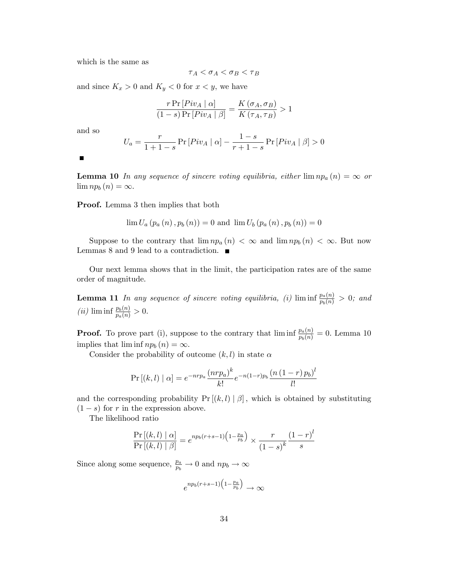which is the same as

$$
\tau_A < \sigma_A < \sigma_B < \tau_B
$$

and since  $K_x > 0$  and  $K_y < 0$  for  $x < y$ , we have

$$
\frac{r \Pr[Piv_A \mid \alpha]}{(1-s) \Pr[Piv_A \mid \beta]} = \frac{K(\sigma_A, \sigma_B)}{K(\tau_A, \tau_B)} > 1
$$

and so

$$
U_a = \frac{r}{1+1-s} \Pr\left[ Piv_A \mid \alpha \right] - \frac{1-s}{r+1-s} \Pr\left[ Piv_A \mid \beta \right] > 0
$$

 $\blacksquare$ 

**Lemma 10** In any sequence of sincere voting equilibria, either  $\lim_{n \to \infty} np_a(n) = \infty$  or  $\lim np_b(n) = \infty.$ 

Proof. Lemma 3 then implies that both

$$
\lim U_{a} (p_{a}(n), p_{b}(n)) = 0
$$
 and  $\lim U_{b} (p_{a}(n), p_{b}(n)) = 0$ 

Suppose to the contrary that  $\lim_{n \to \infty} np_a(n) < \infty$  and  $\lim_{n \to \infty} np_b(n) < \infty$ . But now Lemmas 8 and 9 lead to a contradiction.  $\blacksquare$ 

Our next lemma shows that in the limit, the participation rates are of the same order of magnitude.

**Lemma 11** In any sequence of sincere voting equilibria, (i)  $\liminf_{p_b(n)} \frac{p_a(n)}{p_b(n)} > 0$ ; and (*ii*)  $\liminf \frac{p_b(n)}{p_a(n)} > 0.$ 

**Proof.** To prove part (i), suppose to the contrary that  $\liminf_{p_b(n)} \frac{p_a(n)}{p_b(n)} = 0$ . Lemma 10 implies that  $\liminf np_b (n) = \infty.$ 

Consider the probability of outcome  $(k, l)$  in state  $\alpha$ 

$$
\Pr\left[(k,l)\mid \alpha\right] = e^{-nrp_a} \frac{\left(nrp_a\right)^k}{k!} e^{-n(1-r)p_b} \frac{\left(n\left(1-r\right)p_b\right)^l}{l!}
$$

and the corresponding probability  $Pr[(k, l) | \beta]$ , which is obtained by substituting  $(1 - s)$  for r in the expression above.

The likelihood ratio

$$
\frac{\Pr\left[(k,l)\mid\alpha\right]}{\Pr\left[(k,l)\mid\beta\right]} = e^{n p_b (r+s-1) \left(1 - \frac{p_a}{p_b}\right)} \times \frac{r}{\left(1-s\right)^k} \frac{\left(1-r\right)^l}{s}
$$

Since along some sequence,  $\frac{p_a}{p_b} \to 0$  and  $np_b \to \infty$ 

$$
e^{np_b(r+s-1)\left(1-\frac{p_a}{p_b}\right)} \to \infty
$$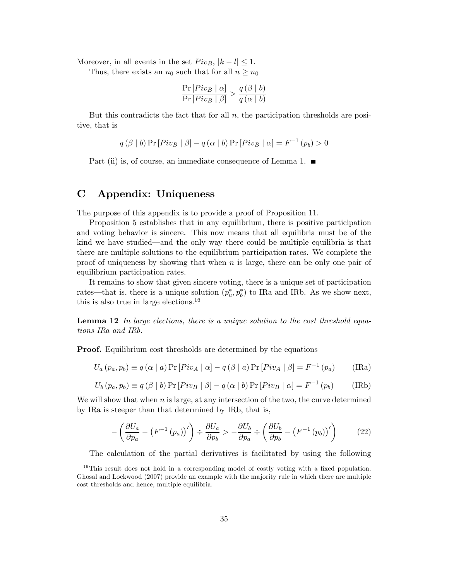Moreover, in all events in the set  $Piv_B$ ,  $|k - l| \leq 1$ .

Thus, there exists an  $n_0$  such that for all  $n \geq n_0$ 

$$
\frac{\Pr\left[Piv_B \mid \alpha\right]}{\Pr\left[Piv_B \mid \beta\right]} > \frac{q\left(\beta \mid b\right)}{q\left(\alpha \mid b\right)}
$$

But this contradicts the fact that for all  $n$ , the participation thresholds are positive, that is

$$
q(\beta | b) \Pr [Piv_B | \beta] - q(\alpha | b) \Pr [Piv_B | \alpha] = F^{-1}(p_b) > 0
$$

Part (ii) is, of course, an immediate consequence of Lemma 1.  $\blacksquare$ 

# C Appendix: Uniqueness

The purpose of this appendix is to provide a proof of Proposition 11.

Proposition 5 establishes that in any equilibrium, there is positive participation and voting behavior is sincere. This now means that all equilibria must be of the kind we have studied—and the only way there could be multiple equilibria is that there are multiple solutions to the equilibrium participation rates. We complete the proof of uniqueness by showing that when  $n$  is large, there can be only one pair of equilibrium participation rates.

It remains to show that given sincere voting, there is a unique set of participation rates—that is, there is a unique solution  $(p_a^*, p_b^*)$  to IRa and IRb. As we show next, this is also true in large elections.<sup>16</sup>

**Lemma 12** In large elections, there is a unique solution to the cost threshold equations IRa and IRb.

**Proof.** Equilibrium cost thresholds are determined by the equations

$$
U_a(p_a, p_b) \equiv q(\alpha \mid a) \Pr[Piv_A \mid \alpha] - q(\beta \mid a) \Pr[Piv_A \mid \beta] = F^{-1}(p_a)
$$
 (IRA)

$$
U_b(p_a, p_b) \equiv q(\beta | b) \Pr[Piv_B | \beta] - q(\alpha | b) \Pr[Piv_B | \alpha] = F^{-1}(p_b)
$$
 (IRb)

We will show that when  $n$  is large, at any intersection of the two, the curve determined by IRa is steeper than that determined by IRb, that is,

$$
-\left(\frac{\partial U_a}{\partial p_a} - \left(F^{-1}\left(p_a\right)\right)'\right) \div \frac{\partial U_a}{\partial p_b} > -\frac{\partial U_b}{\partial p_a} \div \left(\frac{\partial U_b}{\partial p_b} - \left(F^{-1}\left(p_b\right)\right)'\right) \tag{22}
$$

The calculation of the partial derivatives is facilitated by using the following

 $16$ This result does not hold in a corresponding model of costly voting with a fixed population. Ghosal and Lockwood (2007) provide an example with the majority rule in which there are multiple cost thresholds and hence, multiple equilibria.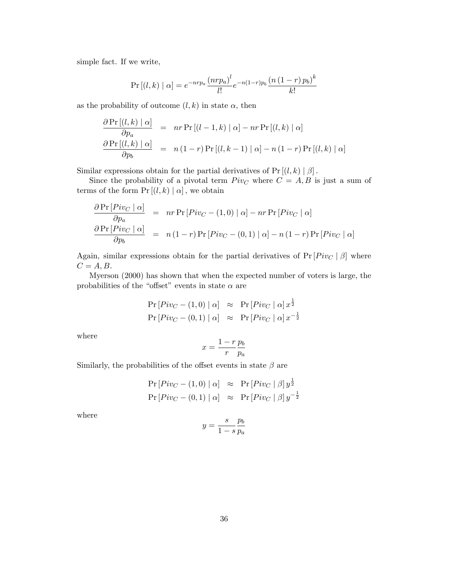simple fact. If we write,

$$
\Pr\left[(l,k)\mid \alpha\right] = e^{-nrp_a} \frac{\left(nrp_a\right)^l}{l!} e^{-n(1-r)p_b} \frac{\left(n\left(1-r\right)p_b\right)^k}{k!}
$$

as the probability of outcome  $(l, k)$  in state  $\alpha$ , then

$$
\frac{\partial \Pr[(l,k) | \alpha]}{\partial p_a} = nr \Pr[(l-1,k) | \alpha] - nr \Pr[(l,k) | \alpha]
$$
  

$$
\frac{\partial \Pr[(l,k) | \alpha]}{\partial p_b} = n(1-r) \Pr[(l,k-1) | \alpha] - n(1-r) \Pr[(l,k) | \alpha]
$$

Similar expressions obtain for the partial derivatives of  $Pr[(l, k) | \beta]$ .

Since the probability of a pivotal term  $Piv<sub>C</sub>$  where  $C = A, B$  is just a sum of terms of the form  $Pr[(l, k) | \alpha]$ , we obtain

$$
\frac{\partial \Pr[Piv_C | \alpha]}{\partial p_a} = nr \Pr[Piv_C - (1,0) | \alpha] - nr \Pr[Piv_C | \alpha]
$$
  

$$
\frac{\partial \Pr[Piv_C | \alpha]}{\partial p_b} = n(1-r) \Pr[Piv_C - (0,1) | \alpha] - n(1-r) \Pr[Piv_C | \alpha]
$$

Again, similar expressions obtain for the partial derivatives of  $Pr[Piv_C | \beta]$  where  $C = A, B.$ 

Myerson (2000) has shown that when the expected number of voters is large, the probabilities of the "offset" events in state  $\alpha$  are

$$
\Pr[Piv_C - (1,0) | \alpha] \approx \Pr[Piv_C | \alpha] x^{\frac{1}{2}}
$$
  

$$
\Pr[Piv_C - (0,1) | \alpha] \approx \Pr[Piv_C | \alpha] x^{-\frac{1}{2}}
$$

where

$$
x = \frac{1 - r}{r} \frac{p_b}{p_a}
$$

Similarly, the probabilities of the offset events in state  $\beta$  are

$$
Pr[Piv_C - (1,0) | \alpha] \approx Pr[Piv_C | \beta] y^{\frac{1}{2}}
$$
  

$$
Pr[Piv_C - (0,1) | \alpha] \approx Pr[Piv_C | \beta] y^{-\frac{1}{2}}
$$

where

$$
y = \frac{s}{1 - s} \frac{p_b}{p_a}
$$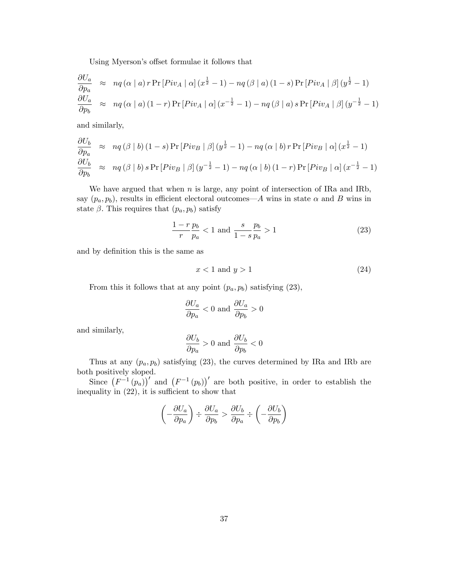Using Myerson's offset formulae it follows that

$$
\frac{\partial U_a}{\partial p_a} \approx nq(\alpha | a) r \Pr [Piv_A | \alpha] (x^{\frac{1}{2}} - 1) - nq(\beta | a) (1 - s) \Pr [Piv_A | \beta] (y^{\frac{1}{2}} - 1)
$$
  

$$
\frac{\partial U_a}{\partial p_b} \approx nq(\alpha | a) (1 - r) \Pr [Piv_A | \alpha] (x^{-\frac{1}{2}} - 1) - nq(\beta | a) s \Pr [Piv_A | \beta] (y^{-\frac{1}{2}} - 1)
$$

and similarly,

$$
\frac{\partial U_b}{\partial p_a} \approx nq(\beta | b) (1 - s) \Pr [Piv_B | \beta] (y^{\frac{1}{2}} - 1) - nq(\alpha | b) r \Pr [Piv_B | \alpha] (x^{\frac{1}{2}} - 1)
$$
  

$$
\frac{\partial U_b}{\partial p_b} \approx nq(\beta | b) s \Pr [Piv_B | \beta] (y^{-\frac{1}{2}} - 1) - nq(\alpha | b) (1 - r) \Pr [Piv_B | \alpha] (x^{-\frac{1}{2}} - 1)
$$

We have argued that when  $n$  is large, any point of intersection of IRa and IRb, say  $(p_a, p_b)$ , results in efficient electoral outcomes—A wins in state  $\alpha$  and B wins in state  $\beta$ . This requires that  $(p_a, p_b)$  satisfy

$$
\frac{1-r}{r}\frac{p_b}{p_a} < 1 \text{ and } \frac{s}{1-s}\frac{p_b}{p_a} > 1\tag{23}
$$

and by definition this is the same as

$$
x < 1 \text{ and } y > 1\tag{24}
$$

From this it follows that at any point  $(p_a, p_b)$  satisfying (23),

$$
\frac{\partial U_a}{\partial p_a}<0 \text{ and } \frac{\partial U_a}{\partial p_b}>0
$$

and similarly,

$$
\frac{\partial U_b}{\partial p_a} > 0 \text{ and } \frac{\partial U_b}{\partial p_b} < 0
$$

Thus at any  $(p_a, p_b)$  satisfying (23), the curves determined by IRa and IRb are both positively sloped.

Since  $(F^{-1}(p_a))^{\prime}$  and  $(F^{-1}(p_b))^{\prime}$  are both positive, in order to establish the inequality in  $(22)$ , it is sufficient to show that

$$
\left(-\frac{\partial U_a}{\partial p_a}\right) \div \frac{\partial U_a}{\partial p_b} > \frac{\partial U_b}{\partial p_a} \div \left(-\frac{\partial U_b}{\partial p_b}\right)
$$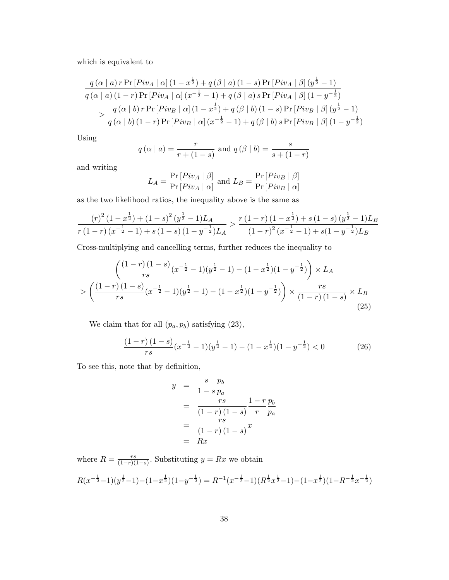which is equivalent to

$$
\frac{q(\alpha | a) r \Pr [Piv_A | \alpha] (1 - x^{\frac{1}{2}}) + q(\beta | a) (1 - s) \Pr [Piv_A | \beta] (y^{\frac{1}{2}} - 1)}{q(\alpha | a) (1 - r) \Pr [Piv_A | \alpha] (x^{-\frac{1}{2}} - 1) + q(\beta | a) s \Pr [Piv_A | \beta] (1 - y^{-\frac{1}{2}})}\frac{q(\alpha | b) r \Pr [Piv_B | \alpha] (1 - x^{\frac{1}{2}}) + q(\beta | b) (1 - s) \Pr [Piv_B | \beta] (y^{\frac{1}{2}} - 1)}{q(\alpha | b) (1 - r) \Pr [Piv_B | \alpha] (x^{-\frac{1}{2}} - 1) + q(\beta | b) s \Pr [Piv_B | \beta] (1 - y^{-\frac{1}{2}})}
$$

Using

$$
q(\alpha | a) = \frac{r}{r + (1 - s)}
$$
 and  $q(\beta | b) = \frac{s}{s + (1 - r)}$ 

and writing

$$
L_A = \frac{\Pr\left[Piv_A \mid \beta\right]}{\Pr\left[Piv_A \mid \alpha\right]} \text{ and } L_B = \frac{\Pr\left[Piv_B \mid \beta\right]}{\Pr\left[Piv_B \mid \alpha\right]}
$$

as the two likelihood ratios, the inequality above is the same as

$$
\frac{(r)^2 (1-x^{\frac{1}{2}}) + (1-s)^2 (y^{\frac{1}{2}}-1) L_A}{r (1-r) (x^{-\frac{1}{2}}-1) + s (1-s) (1-y^{-\frac{1}{2}}) L_A} > \frac{r (1-r) (1-x^{\frac{1}{2}}) + s (1-s) (y^{\frac{1}{2}}-1) L_B}{(1-r)^2 (x^{-\frac{1}{2}}-1) + s (1-y^{-\frac{1}{2}}) L_B}
$$

Cross-multiplying and cancelling terms, further reduces the inequality to

$$
\left(\frac{(1-r)(1-s)}{rs}(x^{-\frac{1}{2}}-1)(y^{\frac{1}{2}}-1) - (1-x^{\frac{1}{2}})(1-y^{-\frac{1}{2}})\right) \times L_A
$$
  
> 
$$
\left(\frac{(1-r)(1-s)}{rs}(x^{-\frac{1}{2}}-1)(y^{\frac{1}{2}}-1) - (1-x^{\frac{1}{2}})(1-y^{-\frac{1}{2}})\right) \times \frac{rs}{(1-r)(1-s)} \times L_B
$$
(25)

We claim that for all  $(p_a, p_b)$  satisfying  $(23)$ ,

$$
\frac{(1-r)(1-s)}{rs}(x^{-\frac{1}{2}}-1)(y^{\frac{1}{2}}-1)-(1-x^{\frac{1}{2}})(1-y^{-\frac{1}{2}})<0
$$
\n(26)

To see this, note that by definition,

$$
y = \frac{s}{1-s} \frac{p_b}{p_a}
$$
  
= 
$$
\frac{rs}{(1-r)(1-s)} \frac{1-r}{r} \frac{p_b}{p_a}
$$
  
= 
$$
\frac{rs}{(1-r)(1-s)} x
$$
  
= 
$$
Rx
$$

where  $R = \frac{rs}{(1-r)!}$  $\frac{rs}{(1-r)(1-s)}$ . Substituting  $y = Rx$  we obtain  $R(x^{-\frac{1}{2}}-1)(y^{\frac{1}{2}}-1)-(1-x^{\frac{1}{2}})(1-y^{-\frac{1}{2}})=R^{-1}(x^{-\frac{1}{2}}-1)(R^{\frac{1}{2}}x^{\frac{1}{2}}-1)-(1-x^{\frac{1}{2}})(1-R^{-\frac{1}{2}}x^{-\frac{1}{2}})$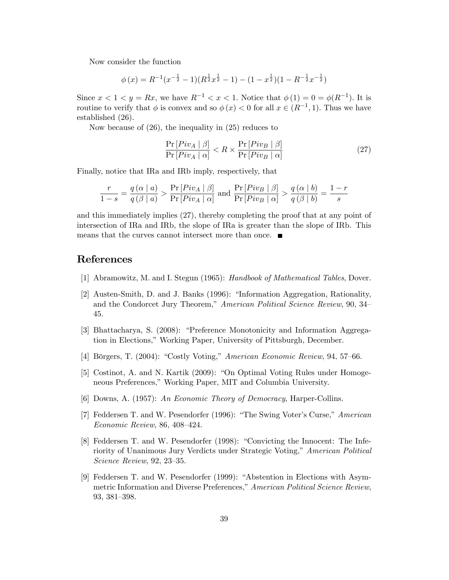Now consider the function

$$
\phi(x) = R^{-1}(x^{-\frac{1}{2}} - 1)(R^{\frac{1}{2}}x^{\frac{1}{2}} - 1) - (1 - x^{\frac{1}{2}})(1 - R^{-\frac{1}{2}}x^{-\frac{1}{2}})
$$

Since  $x < 1 < y = Rx$ , we have  $R^{-1} < x < 1$ . Notice that  $\phi(1) = 0 = \phi(R^{-1})$ . It is routine to verify that  $\phi$  is convex and so  $\phi(x) < 0$  for all  $x \in (R^{-1}, 1)$ . Thus we have established (26).

Now because of (26), the inequality in (25) reduces to

$$
\frac{\Pr\left[Piv_A \mid \beta\right]}{\Pr\left[Piv_A \mid \alpha\right]} < R \times \frac{\Pr\left[Piv_B \mid \beta\right]}{\Pr\left[Piv_B \mid \alpha\right]} \tag{27}
$$

Finally, notice that IRa and IRb imply, respectively, that

$$
\frac{r}{1-s} = \frac{q(\alpha \mid a)}{q(\beta \mid a)} > \frac{\Pr\left[Piv_A \mid \beta\right]}{\Pr\left[Piv_A \mid \alpha\right]} \text{ and } \frac{\Pr\left[Piv_B \mid \beta\right]}{\Pr\left[Piv_B \mid \alpha\right]} > \frac{q(\alpha \mid b)}{q(\beta \mid b)} = \frac{1-r}{s}
$$

and this immediately implies (27), thereby completing the proof that at any point of intersection of IRa and IRb, the slope of IRa is greater than the slope of IRb. This means that the curves cannot intersect more than once.

# References

- [1] Abramowitz, M. and I. Stegun (1965): Handbook of Mathematical Tables, Dover.
- [2] Austen-Smith, D. and J. Banks (1996): "Information Aggregation, Rationality, and the Condorcet Jury Theorem," American Political Science Review, 90, 34– 45.
- [3] Bhattacharya, S. (2008): "Preference Monotonicity and Information Aggregation in Elections," Working Paper, University of Pittsburgh, December.
- [4] Börgers, T.  $(2004)$ : "Costly Voting," American Economic Review, 94, 57–66.
- [5] Costinot, A. and N. Kartik  $(2009)$ : "On Optimal Voting Rules under Homogeneous Preferences," Working Paper, MIT and Columbia University.
- [6] Downs, A. (1957): An Economic Theory of Democracy, Harper-Collins.
- [7] Feddersen T. and W. Pesendorfer (1996): "The Swing Voter's Curse," American  $Economic$  Review, 86, 408-424.
- [8] Feddersen T. and W. Pesendorfer (1998): "Convicting the Innocent: The Inferiority of Unanimous Jury Verdicts under Strategic Voting," American Political  $Science$  Review, 92, 23-35.
- [9] Feddersen T. and W. Pesendorfer (1999): "Abstention in Elections with Asymmetric Information and Diverse Preferences," American Political Science Review, 93, 381-398.